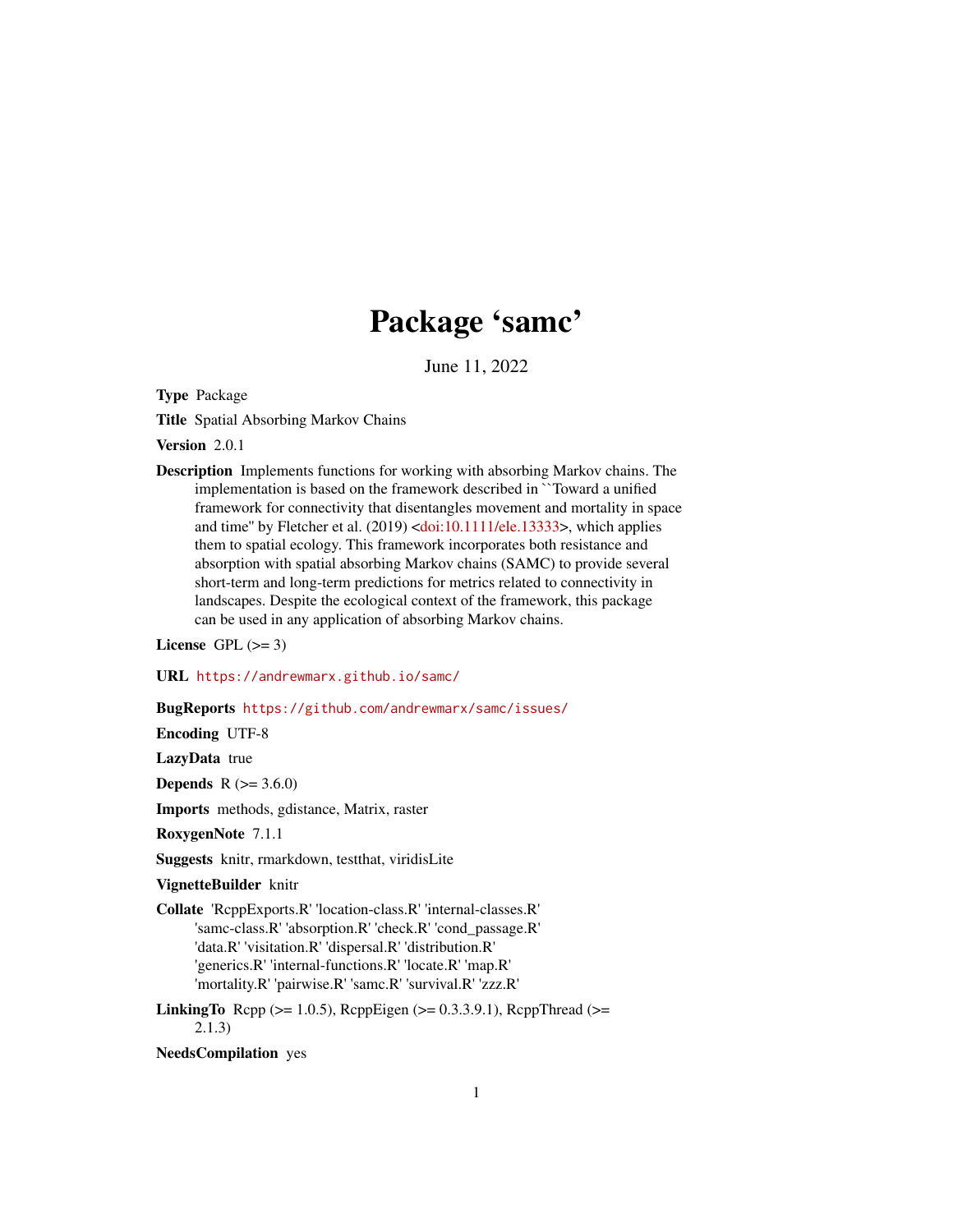# Package 'samc'

June 11, 2022

<span id="page-0-0"></span>Type Package

Title Spatial Absorbing Markov Chains

Version 2.0.1

Description Implements functions for working with absorbing Markov chains. The implementation is based on the framework described in ``Toward a unified framework for connectivity that disentangles movement and mortality in space and time'' by Fletcher et al. (2019) [<doi:10.1111/ele.13333>](https://doi.org/10.1111/ele.13333), which applies them to spatial ecology. This framework incorporates both resistance and absorption with spatial absorbing Markov chains (SAMC) to provide several short-term and long-term predictions for metrics related to connectivity in landscapes. Despite the ecological context of the framework, this package can be used in any application of absorbing Markov chains.

License GPL  $(>= 3)$ 

URL <https://andrewmarx.github.io/samc/>

BugReports <https://github.com/andrewmarx/samc/issues/>

Encoding UTF-8

LazyData true

**Depends**  $R (= 3.6.0)$ 

Imports methods, gdistance, Matrix, raster

RoxygenNote 7.1.1

Suggests knitr, rmarkdown, testthat, viridisLite

VignetteBuilder knitr

Collate 'RcppExports.R' 'location-class.R' 'internal-classes.R' 'samc-class.R' 'absorption.R' 'check.R' 'cond\_passage.R' 'data.R' 'visitation.R' 'dispersal.R' 'distribution.R' 'generics.R' 'internal-functions.R' 'locate.R' 'map.R' 'mortality.R' 'pairwise.R' 'samc.R' 'survival.R' 'zzz.R'

LinkingTo Rcpp ( $>= 1.0.5$ ), RcppEigen ( $>= 0.3.3.9.1$ ), RcppThread ( $>=$ 2.1.3)

NeedsCompilation yes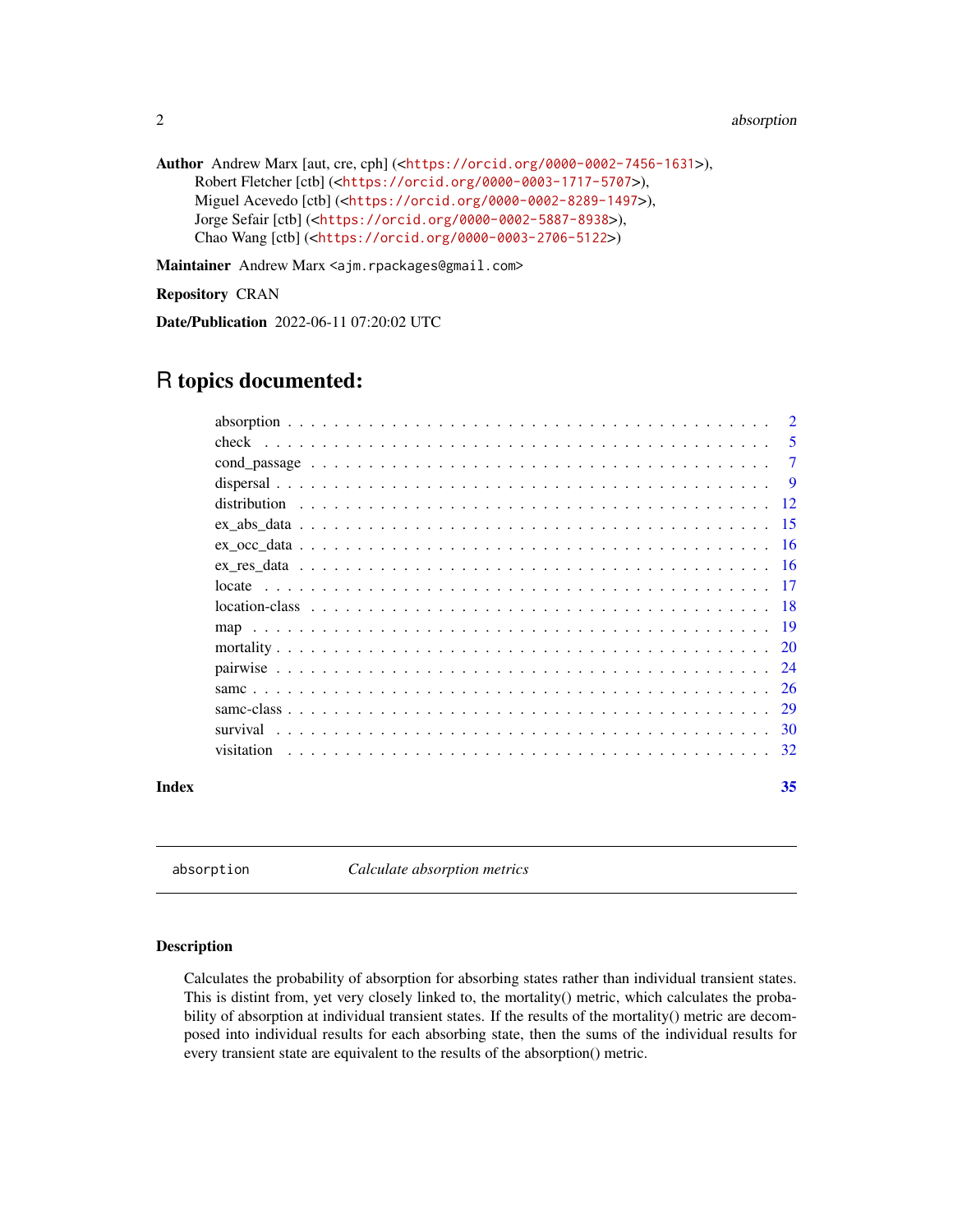```
Author Andrew Marx [aut, cre, cph] (<https://orcid.org/0000-0002-7456-1631>),
     Robert Fletcher [ctb] (<https://orcid.org/0000-0003-1717-5707>),
     Miguel Acevedo [ctb] (<https://orcid.org/0000-0002-8289-1497>),
     Jorge Sefair [ctb] (<https://orcid.org/0000-0002-5887-8938>),
     Chao Wang [ctb] (<https://orcid.org/0000-0003-2706-5122>)
```
Maintainer Andrew Marx <ajm.rpackages@gmail.com>

Repository CRAN

Date/Publication 2022-06-11 07:20:02 UTC

# R topics documented:

|       |            | -5     |
|-------|------------|--------|
|       |            | $\tau$ |
|       |            | -9     |
|       |            |        |
|       |            |        |
|       |            |        |
|       |            |        |
|       |            |        |
|       |            |        |
|       |            |        |
|       |            |        |
|       |            | 24     |
|       |            | -26    |
|       |            | 29     |
|       |            |        |
|       | visitation |        |
| Index |            | 35     |

<span id="page-1-1"></span>absorption *Calculate absorption metrics*

# Description

Calculates the probability of absorption for absorbing states rather than individual transient states. This is distint from, yet very closely linked to, the mortality() metric, which calculates the probability of absorption at individual transient states. If the results of the mortality() metric are decomposed into individual results for each absorbing state, then the sums of the individual results for every transient state are equivalent to the results of the absorption() metric.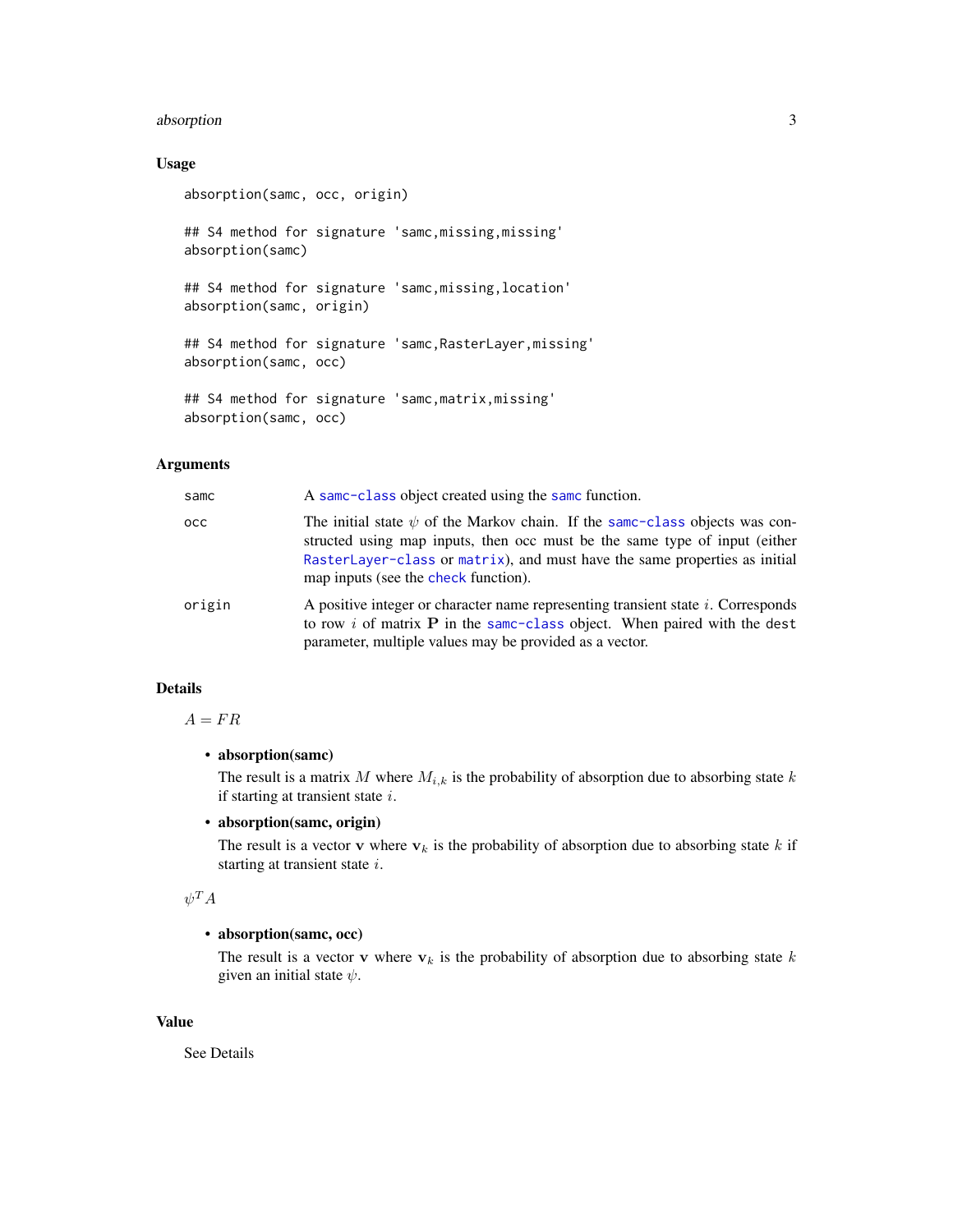# <span id="page-2-0"></span>absorption 3

# Usage

```
absorption(samc, occ, origin)
## S4 method for signature 'samc,missing,missing'
absorption(samc)
## S4 method for signature 'samc,missing,location'
absorption(samc, origin)
## S4 method for signature 'samc,RasterLayer,missing'
absorption(samc, occ)
## S4 method for signature 'samc,matrix,missing'
absorption(samc, occ)
```
# Arguments

| samc   | A same-class object created using the same function.                                                                                                                                                                                                                                 |
|--------|--------------------------------------------------------------------------------------------------------------------------------------------------------------------------------------------------------------------------------------------------------------------------------------|
| occ.   | The initial state $\psi$ of the Markov chain. If the same-class objects was con-<br>structed using map inputs, then occ must be the same type of input (either<br>RasterLayer-class or matrix), and must have the same properties as initial<br>map inputs (see the check function). |
| origin | A positive integer or character name representing transient state i. Corresponds<br>to row $i$ of matrix $P$ in the same-class object. When paired with the dest<br>parameter, multiple values may be provided as a vector.                                                          |

# Details

 $A = FR$ 

# • absorption(samc)

The result is a matrix  $M$  where  $M_{i,k}$  is the probability of absorption due to absorbing state  $k$ if starting at transient state i.

# • absorption(samc, origin)

The result is a vector v where  $v_k$  is the probability of absorption due to absorbing state k if starting at transient state i.

# $\psi^TA$

# • absorption(samc, occ)

The result is a vector v where  $v_k$  is the probability of absorption due to absorbing state k given an initial state  $\psi$ .

# Value

See Details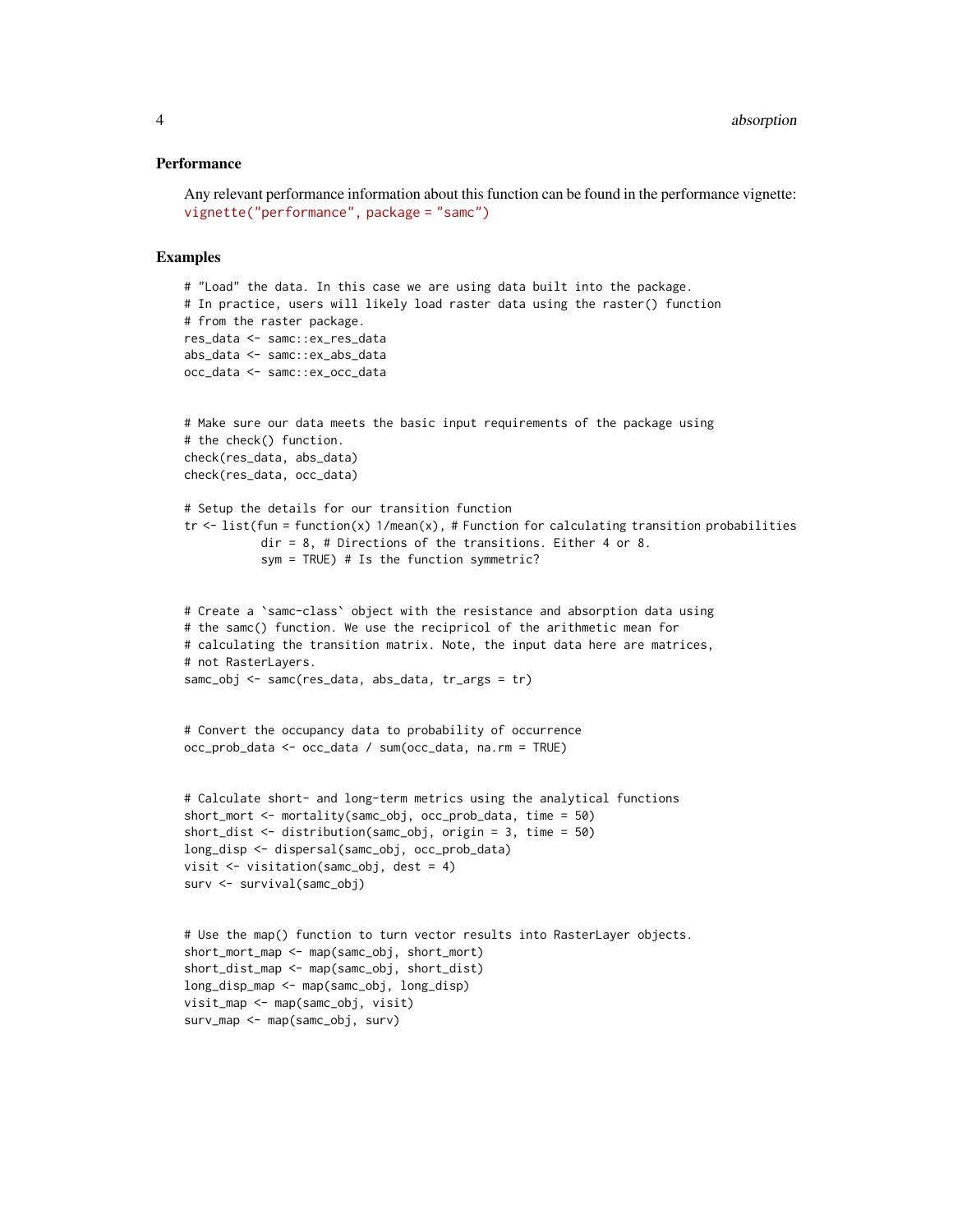#### **Performance**

```
Any relevant performance information about this function can be found in the performance vignette:
vignette("performance", package = "samc")
```

```
# "Load" the data. In this case we are using data built into the package.
# In practice, users will likely load raster data using the raster() function
# from the raster package.
res_data <- samc::ex_res_data
abs_data <- samc::ex_abs_data
occ_data <- samc::ex_occ_data
# Make sure our data meets the basic input requirements of the package using
# the check() function.
check(res_data, abs_data)
check(res_data, occ_data)
# Setup the details for our transition function
tr \le - list(fun = function(x) 1/mean(x), # Function for calculating transition probabilities
           dir = 8, # Directions of the transitions. Either 4 or 8.
           sym = TRUE) # Is the function symmetric?
# Create a `samc-class` object with the resistance and absorption data using
# the samc() function. We use the recipricol of the arithmetic mean for
# calculating the transition matrix. Note, the input data here are matrices,
# not RasterLayers.
samc_obj <- samc(res_data, abs_data, tr_args = tr)
# Convert the occupancy data to probability of occurrence
occ_prob_data <- occ_data / sum(occ_data, na.rm = TRUE)
# Calculate short- and long-term metrics using the analytical functions
short_mort <- mortality(samc_obj, occ_prob_data, time = 50)
short_dist <- distribution(samc_obj, origin = 3, time = 50)
long_disp <- dispersal(samc_obj, occ_prob_data)
visit <- visitation(samc_obj, dest = 4)
surv <- survival(samc_obj)
# Use the map() function to turn vector results into RasterLayer objects.
short_mort_map <- map(samc_obj, short_mort)
short_dist_map <- map(samc_obj, short_dist)
long_disp_map <- map(samc_obj, long_disp)
visit_map <- map(samc_obj, visit)
surv_map <- map(samc_obj, surv)
```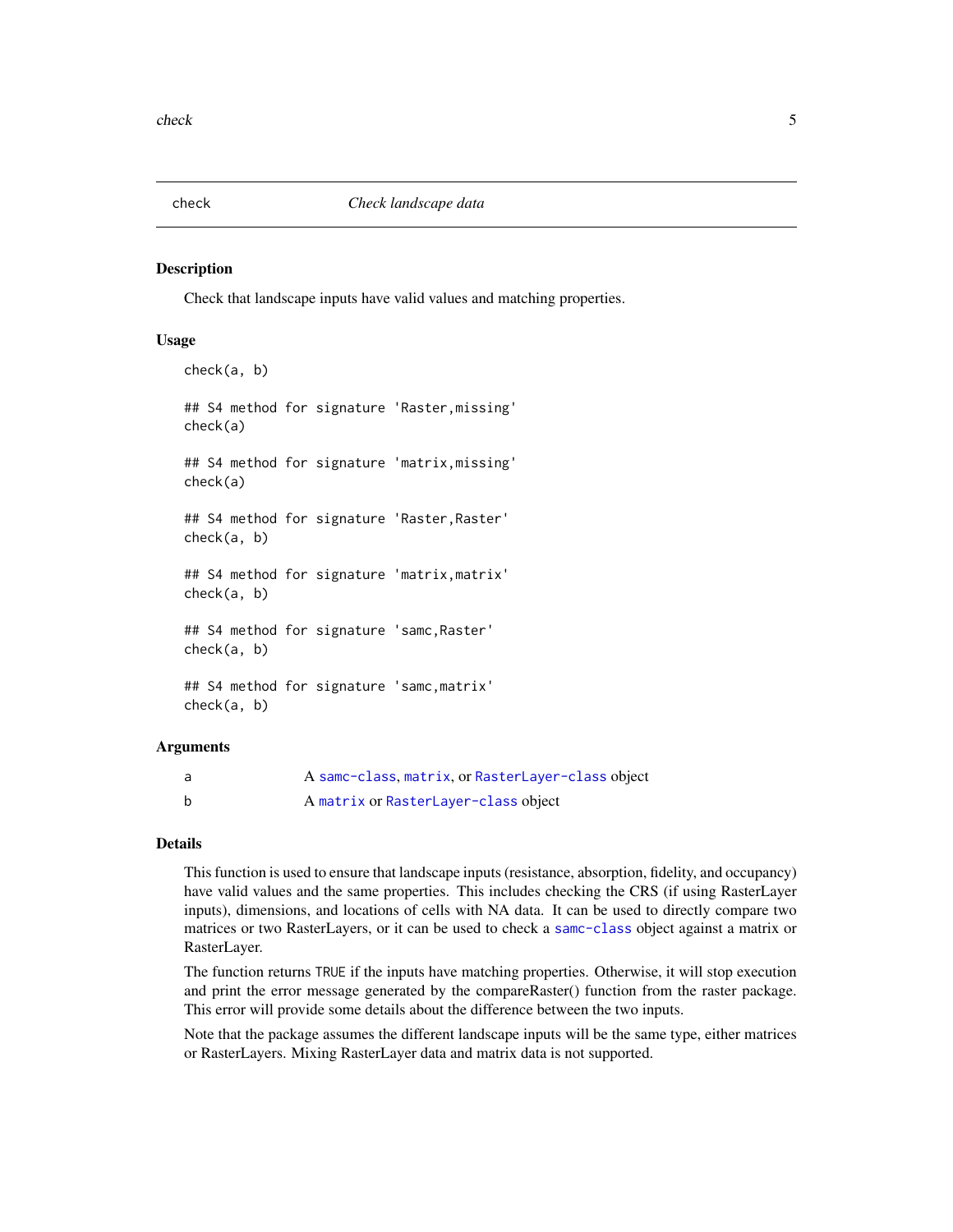<span id="page-4-1"></span><span id="page-4-0"></span>

#### Description

Check that landscape inputs have valid values and matching properties.

# Usage

```
check(a, b)
## S4 method for signature 'Raster,missing'
check(a)
## S4 method for signature 'matrix,missing'
check(a)
## S4 method for signature 'Raster,Raster'
check(a, b)
## S4 method for signature 'matrix,matrix'
check(a, b)
## S4 method for signature 'samc,Raster'
check(a, b)
## S4 method for signature 'samc,matrix'
check(a, b)
```
# Arguments

|   | A samc-class, matrix, or RasterLayer-class object |
|---|---------------------------------------------------|
| b | A matrix or RasterLayer-class object              |

# Details

This function is used to ensure that landscape inputs (resistance, absorption, fidelity, and occupancy) have valid values and the same properties. This includes checking the CRS (if using RasterLayer inputs), dimensions, and locations of cells with NA data. It can be used to directly compare two matrices or two RasterLayers, or it can be used to check a [samc-class](#page-28-1) object against a matrix or RasterLayer.

The function returns TRUE if the inputs have matching properties. Otherwise, it will stop execution and print the error message generated by the compareRaster() function from the raster package. This error will provide some details about the difference between the two inputs.

Note that the package assumes the different landscape inputs will be the same type, either matrices or RasterLayers. Mixing RasterLayer data and matrix data is not supported.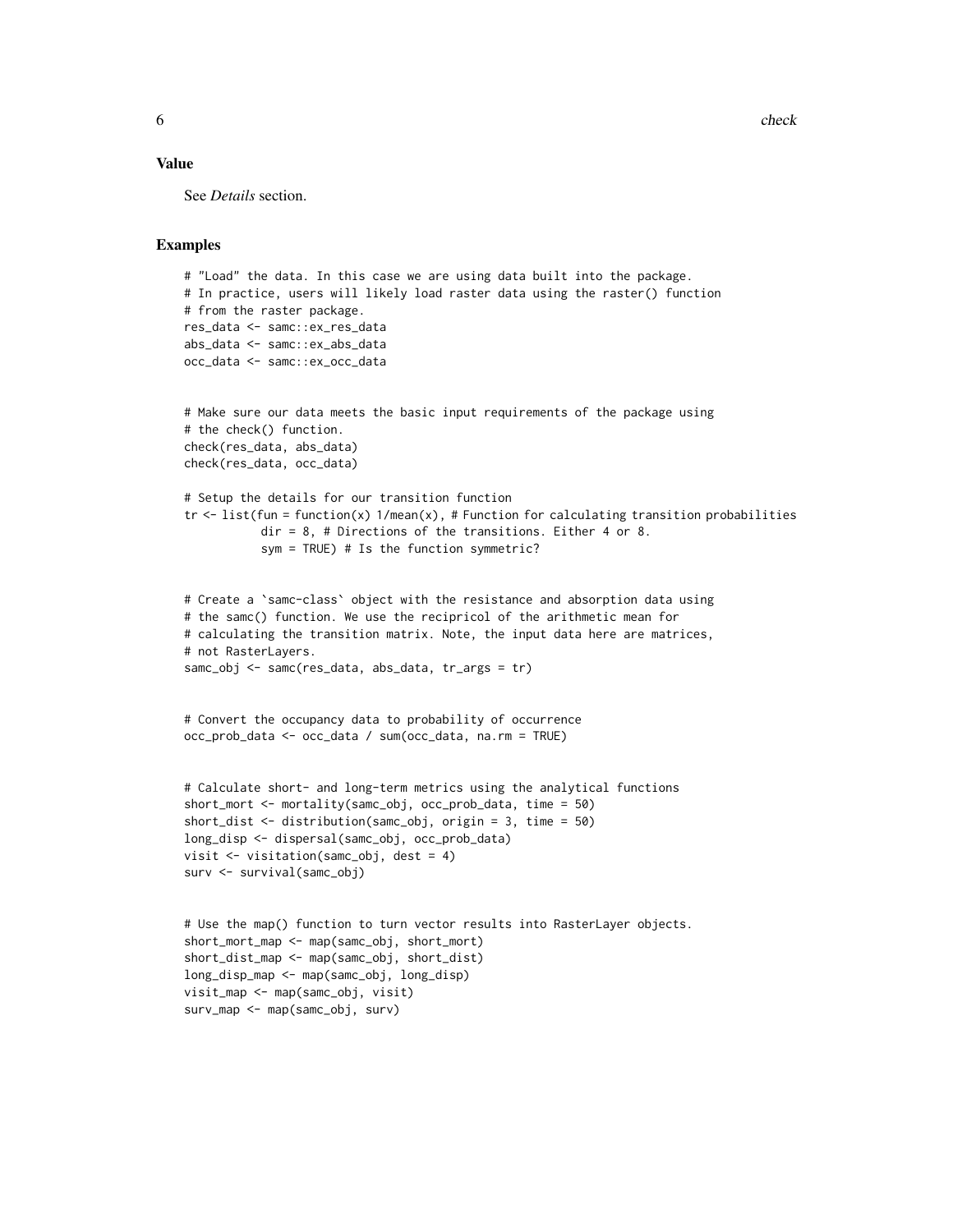6 check check that the check check check check check check check

#### Value

See *Details* section.

```
# "Load" the data. In this case we are using data built into the package.
# In practice, users will likely load raster data using the raster() function
# from the raster package.
res_data <- samc::ex_res_data
abs_data <- samc::ex_abs_data
occ_data <- samc::ex_occ_data
# Make sure our data meets the basic input requirements of the package using
# the check() function.
check(res_data, abs_data)
check(res_data, occ_data)
# Setup the details for our transition function
tr \le list(fun = function(x) 1/mean(x), # Function for calculating transition probabilities
           dir = 8, # Directions of the transitions. Either 4 or 8.
           sym = TRUE) # Is the function symmetric?
# Create a `samc-class` object with the resistance and absorption data using
# the samc() function. We use the recipricol of the arithmetic mean for
# calculating the transition matrix. Note, the input data here are matrices,
# not RasterLayers.
samc_obj <- samc(res_data, abs_data, tr_args = tr)
# Convert the occupancy data to probability of occurrence
occ_prob_data <- occ_data / sum(occ_data, na.rm = TRUE)
# Calculate short- and long-term metrics using the analytical functions
short_mort <- mortality(samc_obj, occ_prob_data, time = 50)
short_dist <- distribution(samc_obj, origin = 3, time = 50)
long_disp <- dispersal(samc_obj, occ_prob_data)
visit <- visitation(samc_obj, dest = 4)
surv <- survival(samc_obj)
# Use the map() function to turn vector results into RasterLayer objects.
short_mort_map <- map(samc_obj, short_mort)
short_dist_map <- map(samc_obj, short_dist)
long_disp_map <- map(samc_obj, long_disp)
visit_map <- map(samc_obj, visit)
surv_map <- map(samc_obj, surv)
```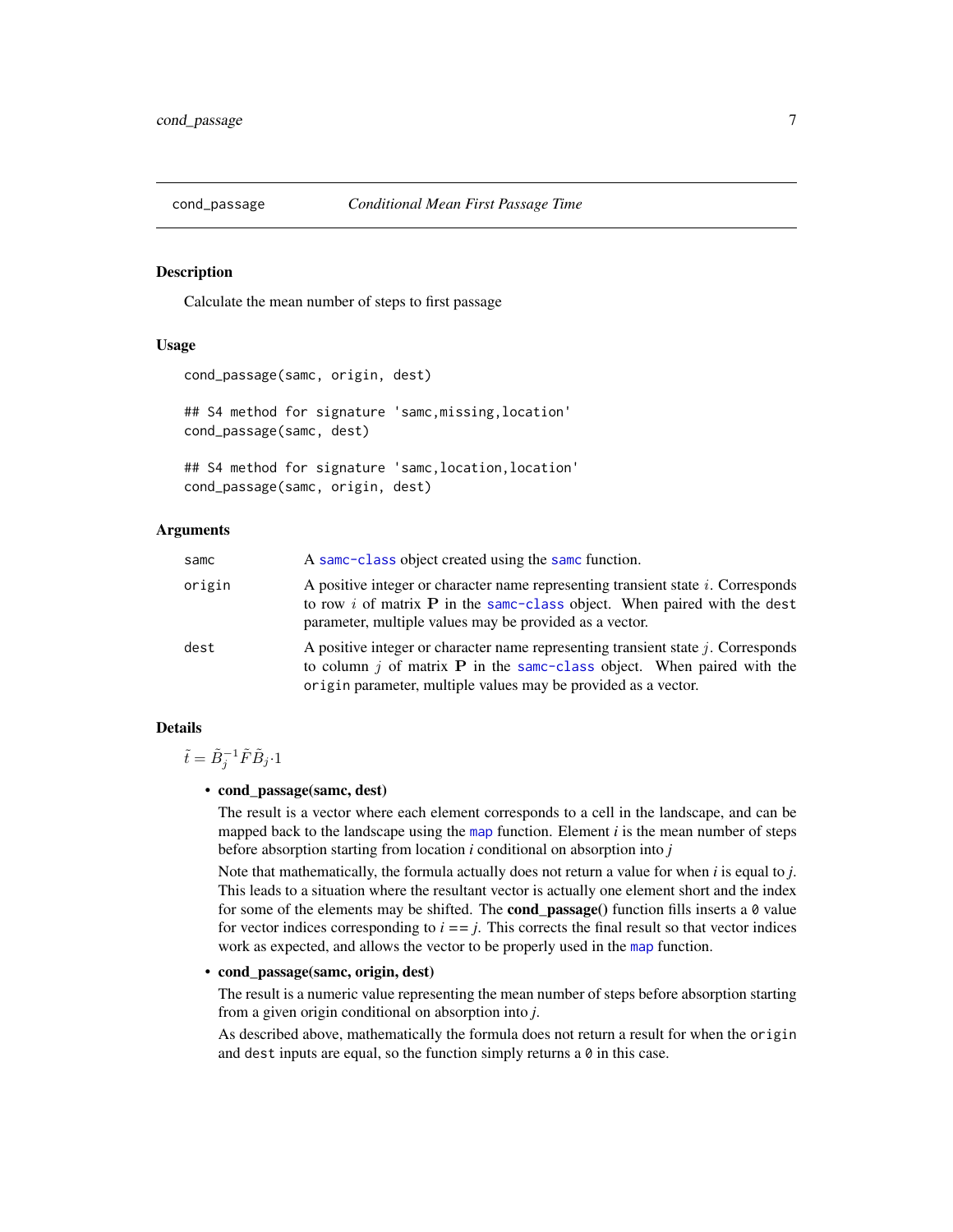<span id="page-6-0"></span>

# Description

Calculate the mean number of steps to first passage

# Usage

```
cond_passage(samc, origin, dest)
```
## S4 method for signature 'samc,missing,location' cond\_passage(samc, dest)

## S4 method for signature 'samc,location,location' cond\_passage(samc, origin, dest)

# Arguments

| samc   | A same-class object created using the same function.                                                                                                                                                                                     |
|--------|------------------------------------------------------------------------------------------------------------------------------------------------------------------------------------------------------------------------------------------|
| origin | A positive integer or character name representing transient state i. Corresponds<br>to row i of matrix $P$ in the same-class object. When paired with the dest<br>parameter, multiple values may be provided as a vector.                |
| dest   | A positive integer or character name representing transient state $j$ . Corresponds<br>to column $j$ of matrix <b>P</b> in the same-class object. When paired with the<br>origin parameter, multiple values may be provided as a vector. |

# Details

 $\tilde{t} = \tilde{B}_j^{-1} \tilde{F} \tilde{B}_j \cdot 1$ 

#### • cond\_passage(samc, dest)

The result is a vector where each element corresponds to a cell in the landscape, and can be mapped back to the landscape using the [map](#page-18-1) function. Element *i* is the mean number of steps before absorption starting from location *i* conditional on absorption into *j*

Note that mathematically, the formula actually does not return a value for when *i* is equal to *j*. This leads to a situation where the resultant vector is actually one element short and the index for some of the elements may be shifted. The **cond\_passage**() function fills inserts a  $\theta$  value for vector indices corresponding to  $i = j$ . This corrects the final result so that vector indices work as expected, and allows the vector to be properly used in the [map](#page-18-1) function.

# • cond\_passage(samc, origin, dest)

The result is a numeric value representing the mean number of steps before absorption starting from a given origin conditional on absorption into *j*.

As described above, mathematically the formula does not return a result for when the origin and dest inputs are equal, so the function simply returns a  $\theta$  in this case.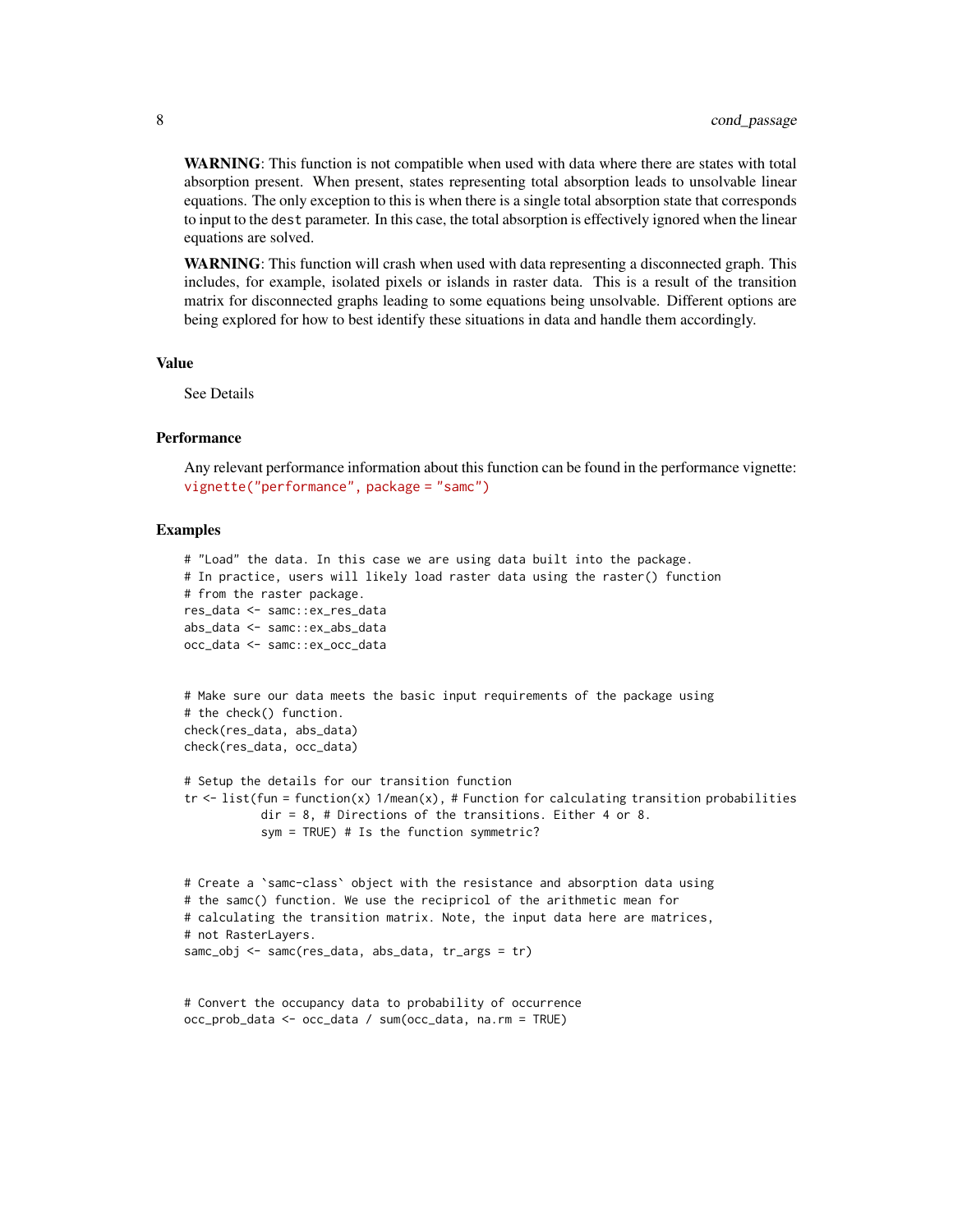WARNING: This function is not compatible when used with data where there are states with total absorption present. When present, states representing total absorption leads to unsolvable linear equations. The only exception to this is when there is a single total absorption state that corresponds to input to the dest parameter. In this case, the total absorption is effectively ignored when the linear equations are solved.

WARNING: This function will crash when used with data representing a disconnected graph. This includes, for example, isolated pixels or islands in raster data. This is a result of the transition matrix for disconnected graphs leading to some equations being unsolvable. Different options are being explored for how to best identify these situations in data and handle them accordingly.

## Value

See Details

# Performance

Any relevant performance information about this function can be found in the performance vignette: [vignette\("performance", package = "samc"\)](../doc/performance.html)

```
# "Load" the data. In this case we are using data built into the package.
# In practice, users will likely load raster data using the raster() function
# from the raster package.
res_data <- samc::ex_res_data
abs_data <- samc::ex_abs_data
occ_data <- samc::ex_occ_data
# Make sure our data meets the basic input requirements of the package using
# the check() function.
check(res_data, abs_data)
check(res_data, occ_data)
# Setup the details for our transition function
tr < - list(fun = function(x) 1/mean(x), # Function for calculating transition probabilities
           dir = 8, # Directions of the transitions. Either 4 or 8.
           sym = TRUE) # Is the function symmetric?
# Create a `samc-class` object with the resistance and absorption data using
# the samc() function. We use the recipricol of the arithmetic mean for
# calculating the transition matrix. Note, the input data here are matrices,
# not RasterLayers.
samc_obj <- samc(res_data, abs_data, tr_args = tr)
# Convert the occupancy data to probability of occurrence
occ_prob_data <- occ_data / sum(occ_data, na.rm = TRUE)
```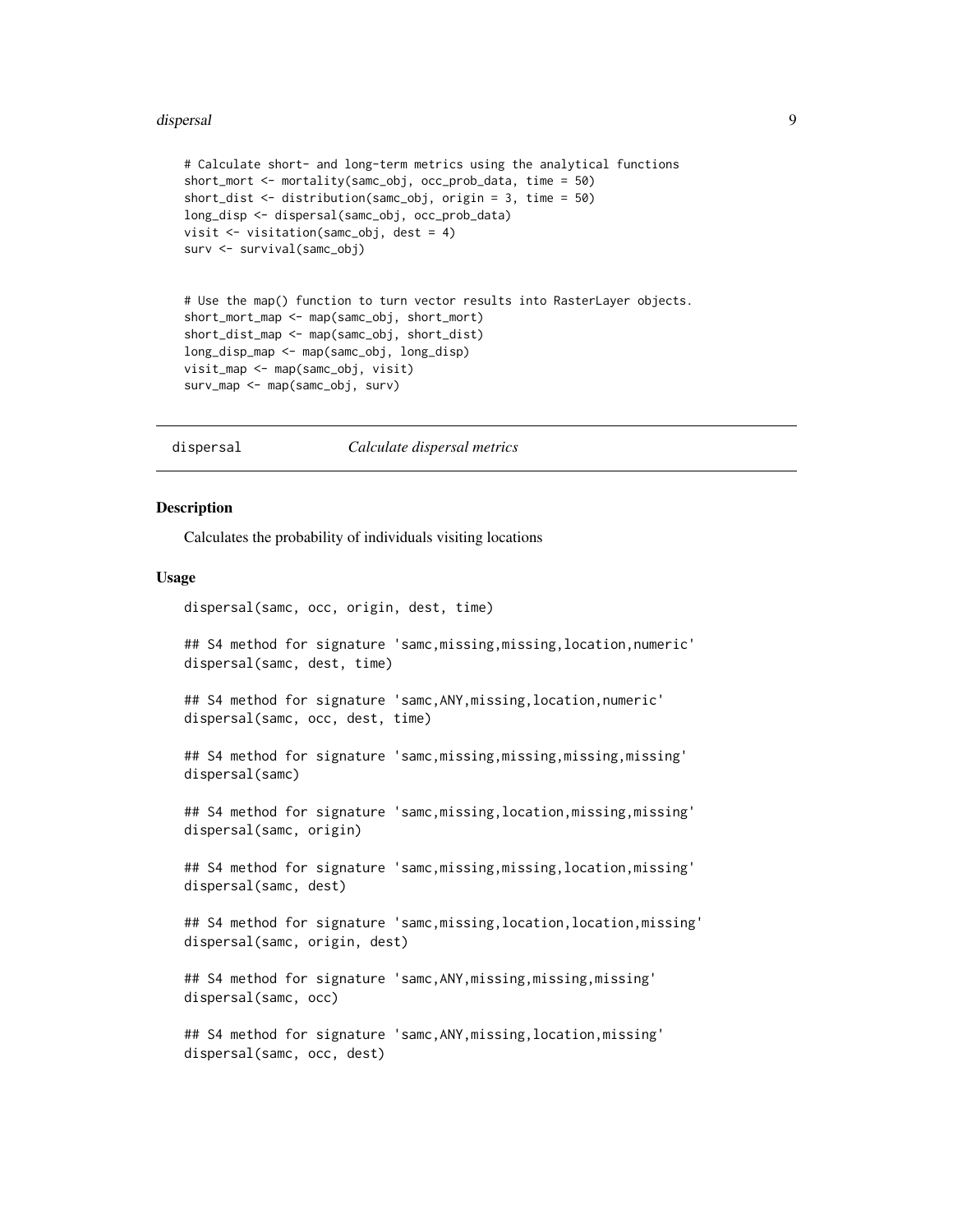#### <span id="page-8-0"></span>dispersal to the control of the control of the control of the control of the control of the control of the control of the control of the control of the control of the control of the control of the control of the control of

```
# Calculate short- and long-term metrics using the analytical functions
short_mort <- mortality(samc_obj, occ_prob_data, time = 50)
short_dist <- distribution(samc_obj, origin = 3, time = 50)
long_disp <- dispersal(samc_obj, occ_prob_data)
visit <- visitation(samc_obj, dest = 4)
surv <- survival(samc_obj)
# Use the map() function to turn vector results into RasterLayer objects.
short_mort_map <- map(samc_obj, short_mort)
short_dist_map <- map(samc_obj, short_dist)
long_disp_map <- map(samc_obj, long_disp)
visit_map <- map(samc_obj, visit)
surv_map <- map(samc_obj, surv)
```
dispersal *Calculate dispersal metrics*

# **Description**

Calculates the probability of individuals visiting locations

#### Usage

dispersal(samc, occ, origin, dest, time)

## S4 method for signature 'samc,missing,missing,location,numeric' dispersal(samc, dest, time)

## S4 method for signature 'samc, ANY, missing, location, numeric' dispersal(samc, occ, dest, time)

## S4 method for signature 'samc,missing,missing,missing,missing' dispersal(samc)

## S4 method for signature 'samc,missing,location,missing,missing' dispersal(samc, origin)

## S4 method for signature 'samc,missing,missing,location,missing' dispersal(samc, dest)

## S4 method for signature 'samc,missing,location,location,missing' dispersal(samc, origin, dest)

## S4 method for signature 'samc,ANY,missing,missing,missing' dispersal(samc, occ)

## S4 method for signature 'samc,ANY,missing,location,missing' dispersal(samc, occ, dest)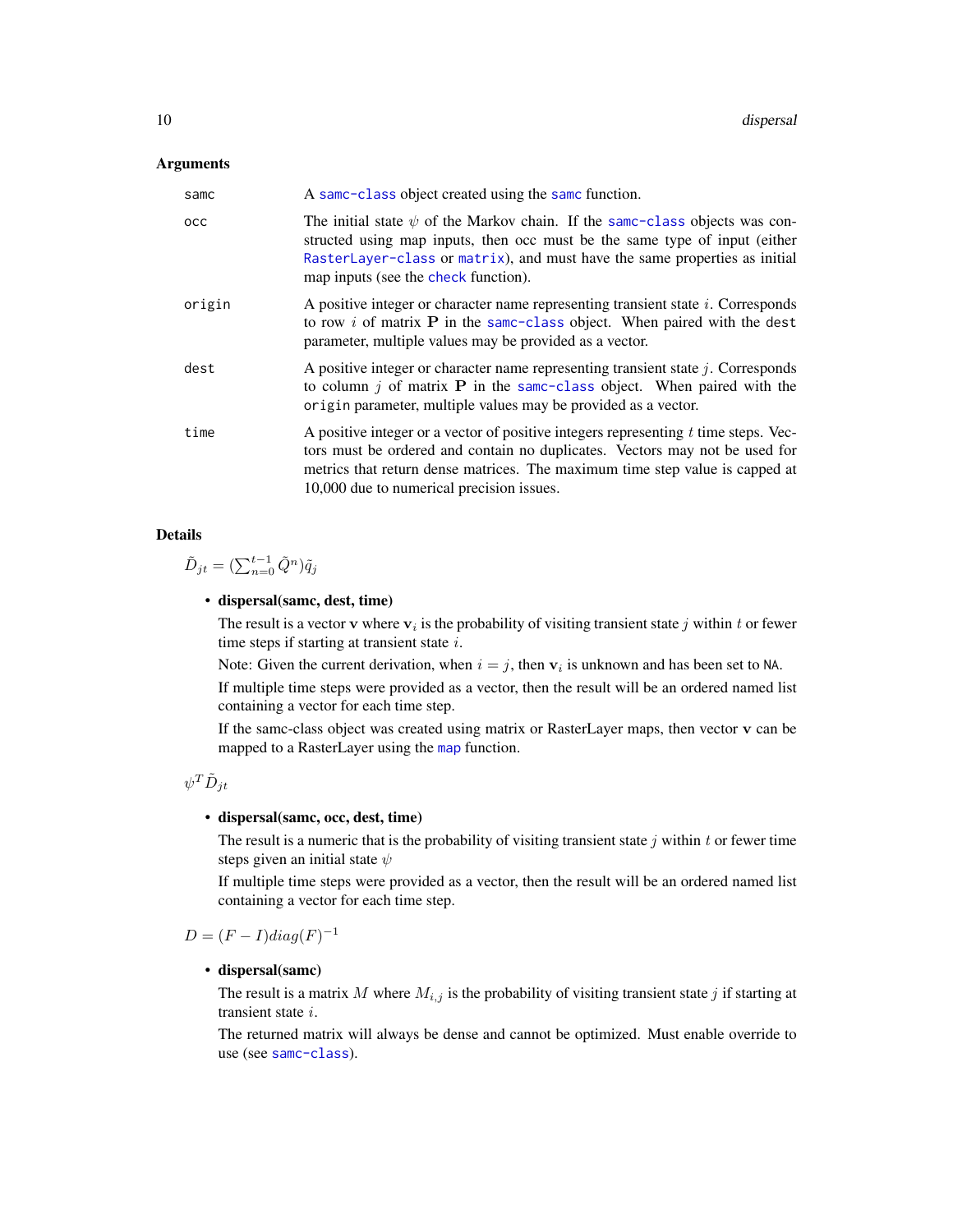# <span id="page-9-0"></span>Arguments

| samc   | A same-class object created using the same function.                                                                                                                                                                                                                                              |
|--------|---------------------------------------------------------------------------------------------------------------------------------------------------------------------------------------------------------------------------------------------------------------------------------------------------|
| осс    | The initial state $\psi$ of the Markov chain. If the same-class objects was con-<br>structed using map inputs, then occ must be the same type of input (either<br>RasterLayer-class or matrix), and must have the same properties as initial<br>map inputs (see the check function).              |
| origin | A positive integer or character name representing transient state i. Corresponds<br>to row $i$ of matrix $P$ in the same-class object. When paired with the dest<br>parameter, multiple values may be provided as a vector.                                                                       |
| dest   | A positive integer or character name representing transient state $j$ . Corresponds<br>to column $j$ of matrix <b>P</b> in the same-class object. When paired with the<br>origin parameter, multiple values may be provided as a vector.                                                          |
| time   | A positive integer or a vector of positive integers representing $t$ time steps. Vec-<br>tors must be ordered and contain no duplicates. Vectors may not be used for<br>metrics that return dense matrices. The maximum time step value is capped at<br>10,000 due to numerical precision issues. |

# Details

 $\tilde{D}_{jt} = (\sum_{n=0}^{t-1} \tilde{Q}^n) \tilde{q}_j$ 

# • dispersal(samc, dest, time)

The result is a vector **v** where  $v_i$  is the probability of visiting transient state j within t or fewer time steps if starting at transient state  $i$ .

Note: Given the current derivation, when  $i = j$ , then  $v_i$  is unknown and has been set to NA.

If multiple time steps were provided as a vector, then the result will be an ordered named list containing a vector for each time step.

If the samc-class object was created using matrix or RasterLayer maps, then vector v can be mapped to a RasterLayer using the [map](#page-18-1) function.

$$
\psi^T \tilde D_{jt}
$$

# • dispersal(samc, occ, dest, time)

The result is a numeric that is the probability of visiting transient state  $j$  within  $t$  or fewer time steps given an initial state  $\psi$ 

If multiple time steps were provided as a vector, then the result will be an ordered named list containing a vector for each time step.

 $D = (F - I)diag(F)^{-1}$ 

# • dispersal(samc)

The result is a matrix M where  $M_{i,j}$  is the probability of visiting transient state j if starting at transient state i.

The returned matrix will always be dense and cannot be optimized. Must enable override to use (see [samc-class](#page-28-1)).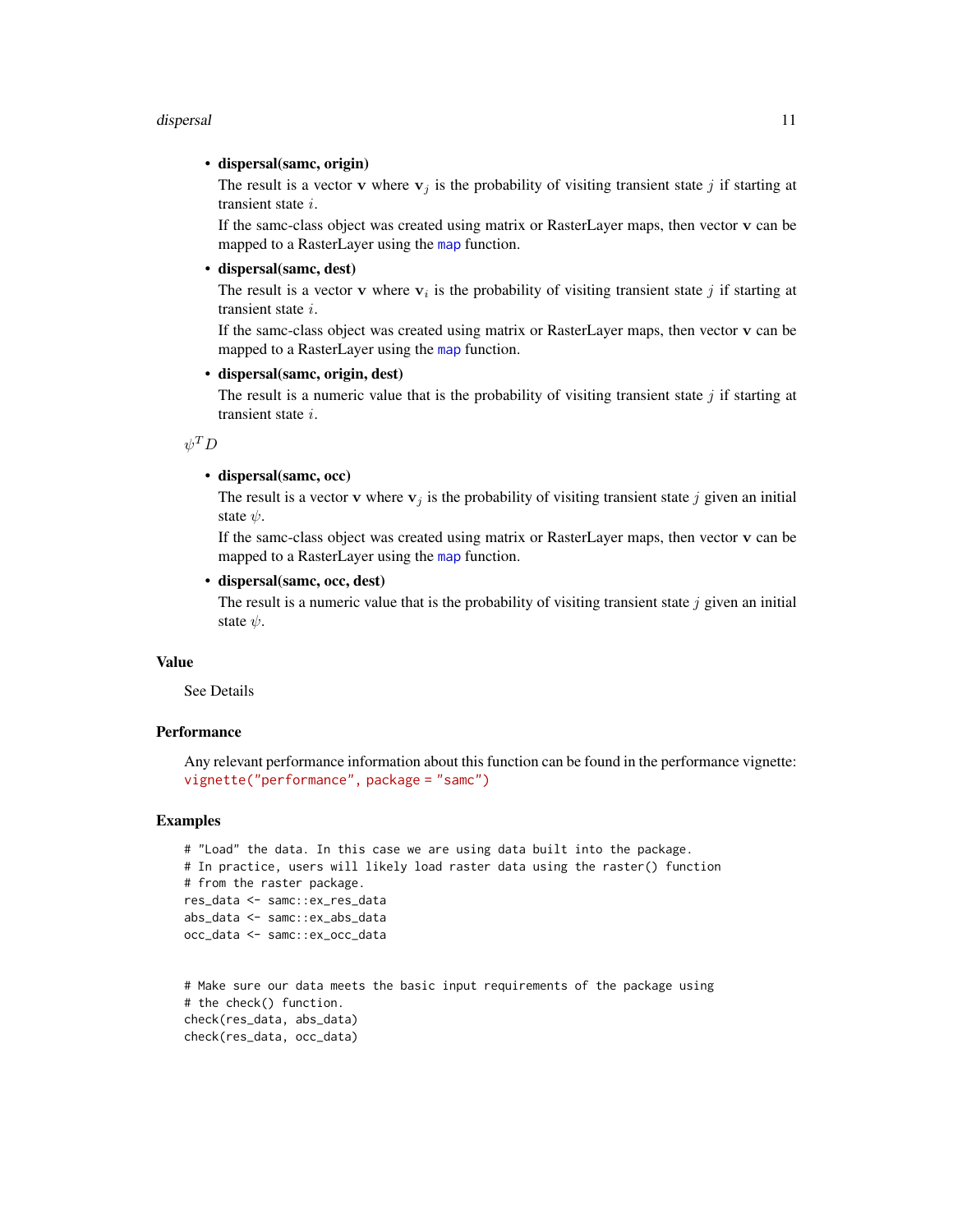#### <span id="page-10-0"></span>dispersal 11

# • dispersal(samc, origin)

The result is a vector **v** where  $v_j$  is the probability of visiting transient state j if starting at transient state i.

If the samc-class object was created using matrix or RasterLayer maps, then vector v can be mapped to a RasterLayer using the [map](#page-18-1) function.

# • dispersal(samc, dest)

The result is a vector **v** where  $v_i$  is the probability of visiting transient state j if starting at transient state i.

If the samc-class object was created using matrix or RasterLayer maps, then vector v can be mapped to a RasterLayer using the [map](#page-18-1) function.

# • dispersal(samc, origin, dest)

The result is a numeric value that is the probability of visiting transient state  $j$  if starting at transient state i.

 $\psi^T D$ 

#### • dispersal(samc, occ)

The result is a vector v where  $v_j$  is the probability of visiting transient state j given an initial state  $\psi$ .

If the samc-class object was created using matrix or RasterLayer maps, then vector v can be mapped to a RasterLayer using the [map](#page-18-1) function.

# • dispersal(samc, occ, dest)

The result is a numeric value that is the probability of visiting transient state  $j$  given an initial state  $\n *ψ*$ .

# Value

See Details

# **Performance**

Any relevant performance information about this function can be found in the performance vignette: [vignette\("performance", package = "samc"\)](../doc/performance.html)

```
# "Load" the data. In this case we are using data built into the package.
# In practice, users will likely load raster data using the raster() function
# from the raster package.
res_data <- samc::ex_res_data
abs_data <- samc::ex_abs_data
occ_data <- samc::ex_occ_data
```

```
# Make sure our data meets the basic input requirements of the package using
# the check() function.
check(res_data, abs_data)
check(res_data, occ_data)
```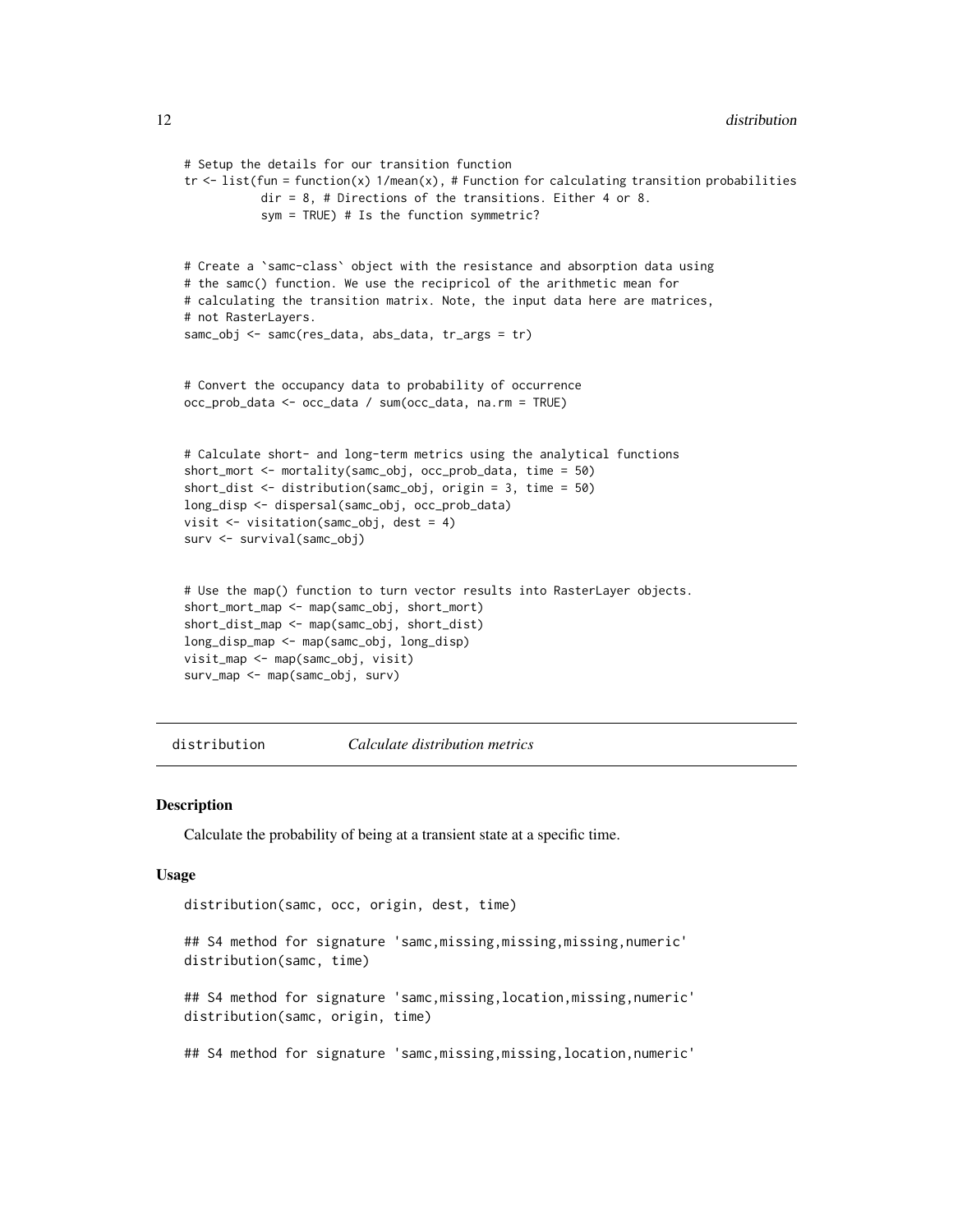```
# Setup the details for our transition function
tr < - list(fun = function(x) 1/mean(x), # Function for calculating transition probabilities
           dir = 8, # Directions of the transitions. Either 4 or 8.
           sym = TRUE) # Is the function symmetric?
# Create a `samc-class` object with the resistance and absorption data using
# the samc() function. We use the recipricol of the arithmetic mean for
# calculating the transition matrix. Note, the input data here are matrices,
# not RasterLayers.
samc_obj <- samc(res_data, abs_data, tr_args = tr)
# Convert the occupancy data to probability of occurrence
occ_prob_data <- occ_data / sum(occ_data, na.rm = TRUE)
# Calculate short- and long-term metrics using the analytical functions
short_mort <- mortality(samc_obj, occ_prob_data, time = 50)
short_dist <- distribution(samc_obj, origin = 3, time = 50)
long_disp <- dispersal(samc_obj, occ_prob_data)
visit <- visitation(samc_obj, dest = 4)
surv <- survival(samc_obj)
# Use the map() function to turn vector results into RasterLayer objects.
short_mort_map <- map(samc_obj, short_mort)
short_dist_map <- map(samc_obj, short_dist)
long_disp_map <- map(samc_obj, long_disp)
visit_map <- map(samc_obj, visit)
surv_map <- map(samc_obj, surv)
```
distribution *Calculate distribution metrics*

#### Description

Calculate the probability of being at a transient state at a specific time.

# Usage

```
distribution(samc, occ, origin, dest, time)
## S4 method for signature 'samc,missing,missing,missing,numeric'
distribution(samc, time)
## S4 method for signature 'samc,missing,location,missing,numeric'
distribution(samc, origin, time)
## S4 method for signature 'samc, missing, missing, location, numeric'
```
<span id="page-11-0"></span>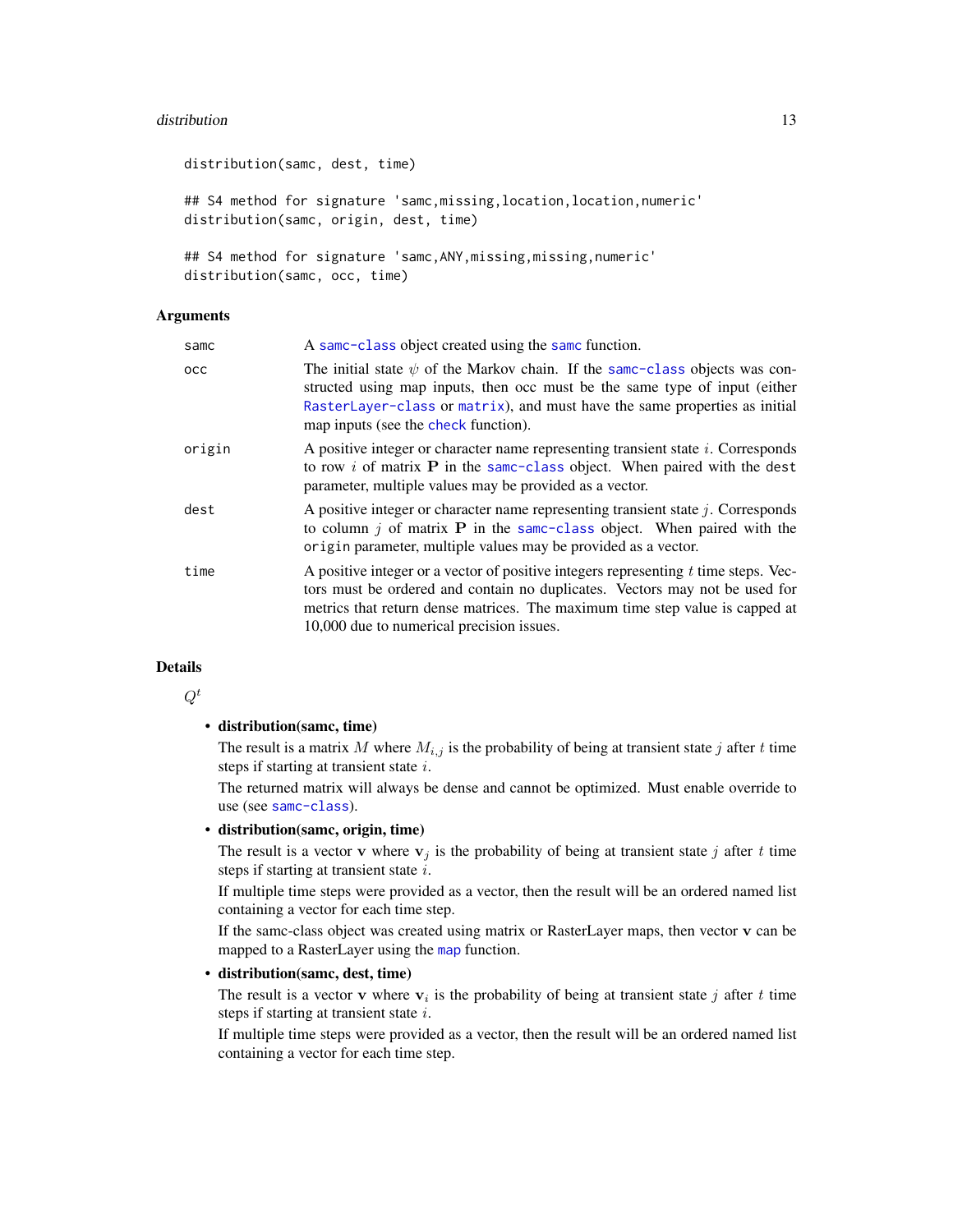# <span id="page-12-0"></span>distribution and the contract of the contract of the contract of the contract of the contract of the contract of the contract of the contract of the contract of the contract of the contract of the contract of the contract

distribution(samc, dest, time) ## S4 method for signature 'samc,missing,location,location,numeric' distribution(samc, origin, dest, time) ## S4 method for signature 'samc, ANY, missing, missing, numeric'

distribution(samc, occ, time)

# Arguments

| samc       | A same-class object created using the same function.                                                                                                                                                                                                                                              |
|------------|---------------------------------------------------------------------------------------------------------------------------------------------------------------------------------------------------------------------------------------------------------------------------------------------------|
| <b>OCC</b> | The initial state $\psi$ of the Markov chain. If the same-class objects was con-<br>structed using map inputs, then occ must be the same type of input (either<br>RasterLayer-class or matrix), and must have the same properties as initial<br>map inputs (see the check function).              |
| origin     | A positive integer or character name representing transient state <i>i</i> . Corresponds<br>to row i of matrix $P$ in the same-class object. When paired with the dest<br>parameter, multiple values may be provided as a vector.                                                                 |
| dest       | A positive integer or character name representing transient state $j$ . Corresponds<br>to column $j$ of matrix <b>P</b> in the same-class object. When paired with the<br>origin parameter, multiple values may be provided as a vector.                                                          |
| time       | A positive integer or a vector of positive integers representing $t$ time steps. Vec-<br>tors must be ordered and contain no duplicates. Vectors may not be used for<br>metrics that return dense matrices. The maximum time step value is capped at<br>10,000 due to numerical precision issues. |

# Details

 $Q^t$ 

# • distribution(samc, time)

The result is a matrix M where  $M_{i,j}$  is the probability of being at transient state j after t time steps if starting at transient state  $i$ .

The returned matrix will always be dense and cannot be optimized. Must enable override to use (see [samc-class](#page-28-1)).

# • distribution(samc, origin, time)

The result is a vector v where  $v_j$  is the probability of being at transient state j after t time steps if starting at transient state  $i$ .

If multiple time steps were provided as a vector, then the result will be an ordered named list containing a vector for each time step.

If the samc-class object was created using matrix or RasterLayer maps, then vector v can be mapped to a RasterLayer using the [map](#page-18-1) function.

# • distribution(samc, dest, time)

The result is a vector **v** where  $v_i$  is the probability of being at transient state j after t time steps if starting at transient state i.

If multiple time steps were provided as a vector, then the result will be an ordered named list containing a vector for each time step.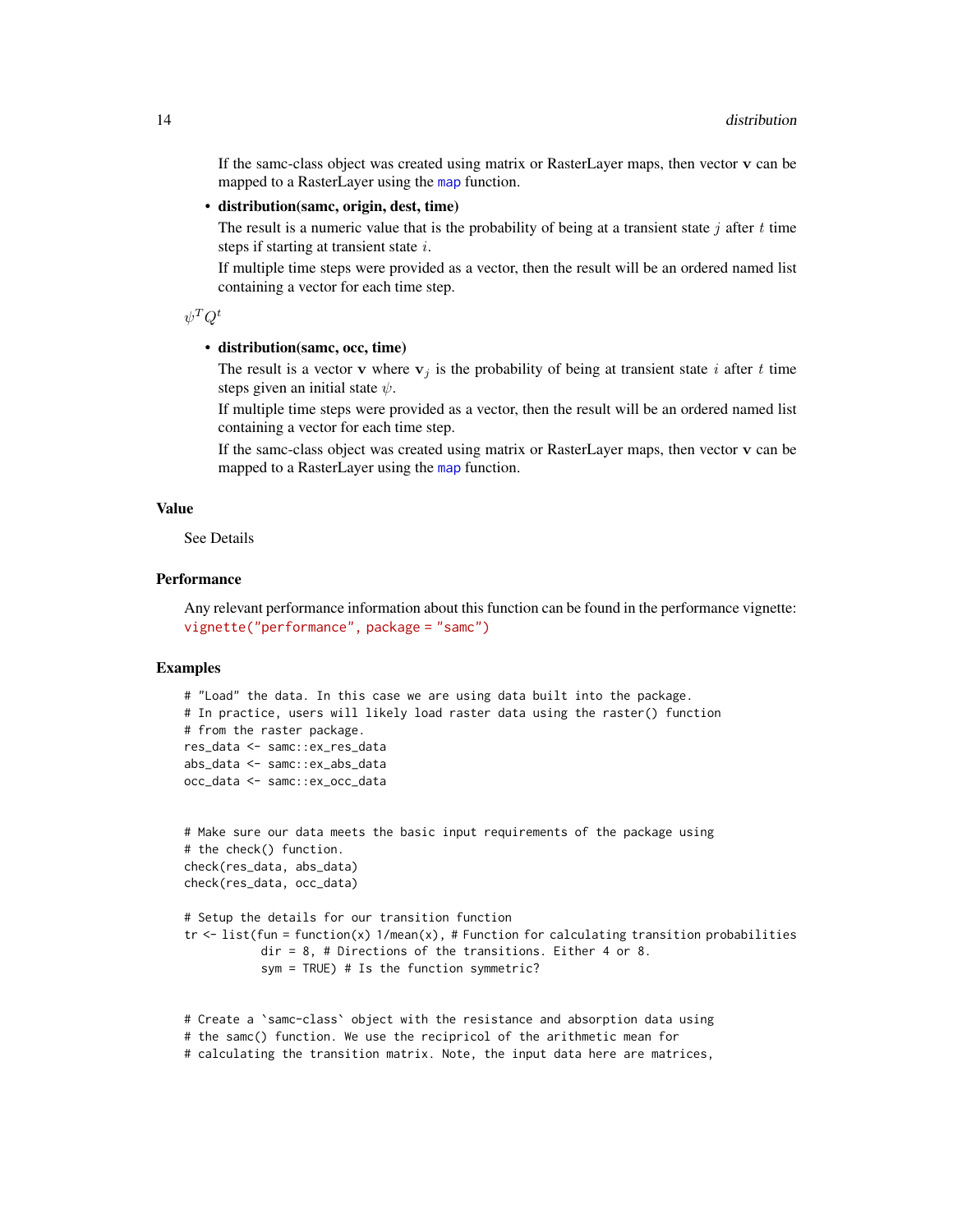<span id="page-13-0"></span>If the samc-class object was created using matrix or RasterLayer maps, then vector v can be mapped to a RasterLayer using the [map](#page-18-1) function.

# • distribution(samc, origin, dest, time)

The result is a numeric value that is the probability of being at a transient state  $j$  after  $t$  time steps if starting at transient state  $i$ .

If multiple time steps were provided as a vector, then the result will be an ordered named list containing a vector for each time step.

 $\psi^T Q^t$ 

#### • distribution(samc, occ, time)

The result is a vector v where  $v_i$  is the probability of being at transient state i after t time steps given an initial state  $\psi$ .

If multiple time steps were provided as a vector, then the result will be an ordered named list containing a vector for each time step.

If the samc-class object was created using matrix or RasterLayer maps, then vector v can be mapped to a RasterLayer using the [map](#page-18-1) function.

# Value

See Details

# **Performance**

Any relevant performance information about this function can be found in the performance vignette: [vignette\("performance", package = "samc"\)](../doc/performance.html)

```
# "Load" the data. In this case we are using data built into the package.
# In practice, users will likely load raster data using the raster() function
# from the raster package.
res_data <- samc::ex_res_data
abs_data <- samc::ex_abs_data
occ_data <- samc::ex_occ_data
# Make sure our data meets the basic input requirements of the package using
```

```
# the check() function.
check(res_data, abs_data)
check(res_data, occ_data)
```

```
# Setup the details for our transition function
tr \le - list(fun = function(x) 1/mean(x), # Function for calculating transition probabilities
           dir = 8, # Directions of the transitions. Either 4 or 8.
           sym = TRUE) # Is the function symmetric?
```

```
# Create a `samc-class` object with the resistance and absorption data using
# the samc() function. We use the recipricol of the arithmetic mean for
# calculating the transition matrix. Note, the input data here are matrices,
```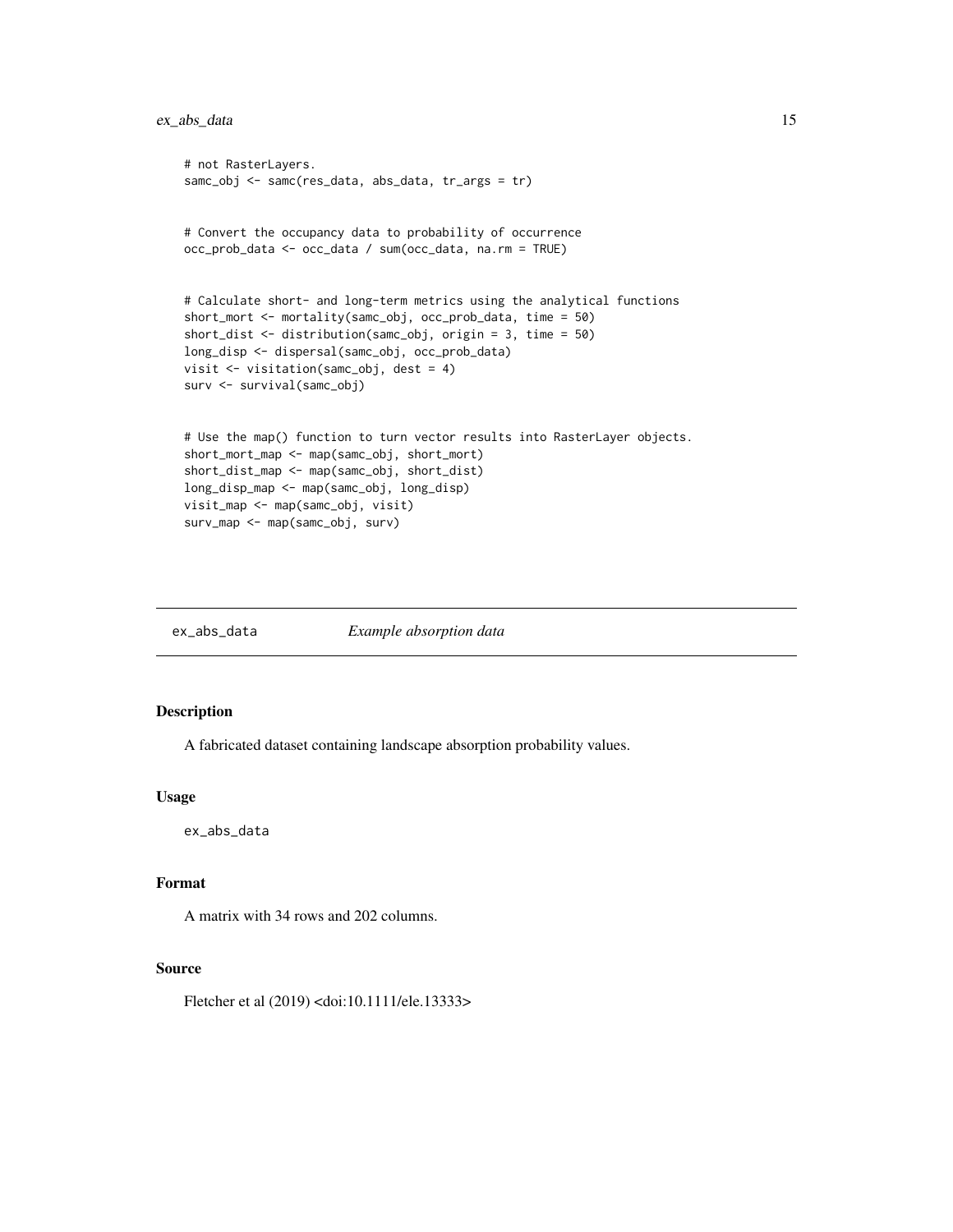# <span id="page-14-0"></span>ex\_abs\_data 15

```
# not RasterLayers.
samc_obj <- samc(res_data, abs_data, tr_args = tr)
# Convert the occupancy data to probability of occurrence
occ_prob_data <- occ_data / sum(occ_data, na.rm = TRUE)
# Calculate short- and long-term metrics using the analytical functions
short_mort <- mortality(samc_obj, occ_prob_data, time = 50)
short_dist <- distribution(samc_obj, origin = 3, time = 50)
long_disp <- dispersal(samc_obj, occ_prob_data)
visit <- visitation(samc_obj, dest = 4)
surv <- survival(samc_obj)
# Use the map() function to turn vector results into RasterLayer objects.
short_mort_map <- map(samc_obj, short_mort)
short_dist_map <- map(samc_obj, short_dist)
long_disp_map <- map(samc_obj, long_disp)
visit_map <- map(samc_obj, visit)
surv_map <- map(samc_obj, surv)
```
ex\_abs\_data *Example absorption data*

# Description

A fabricated dataset containing landscape absorption probability values.

# Usage

ex\_abs\_data

# Format

A matrix with 34 rows and 202 columns.

# Source

Fletcher et al (2019) <doi:10.1111/ele.13333>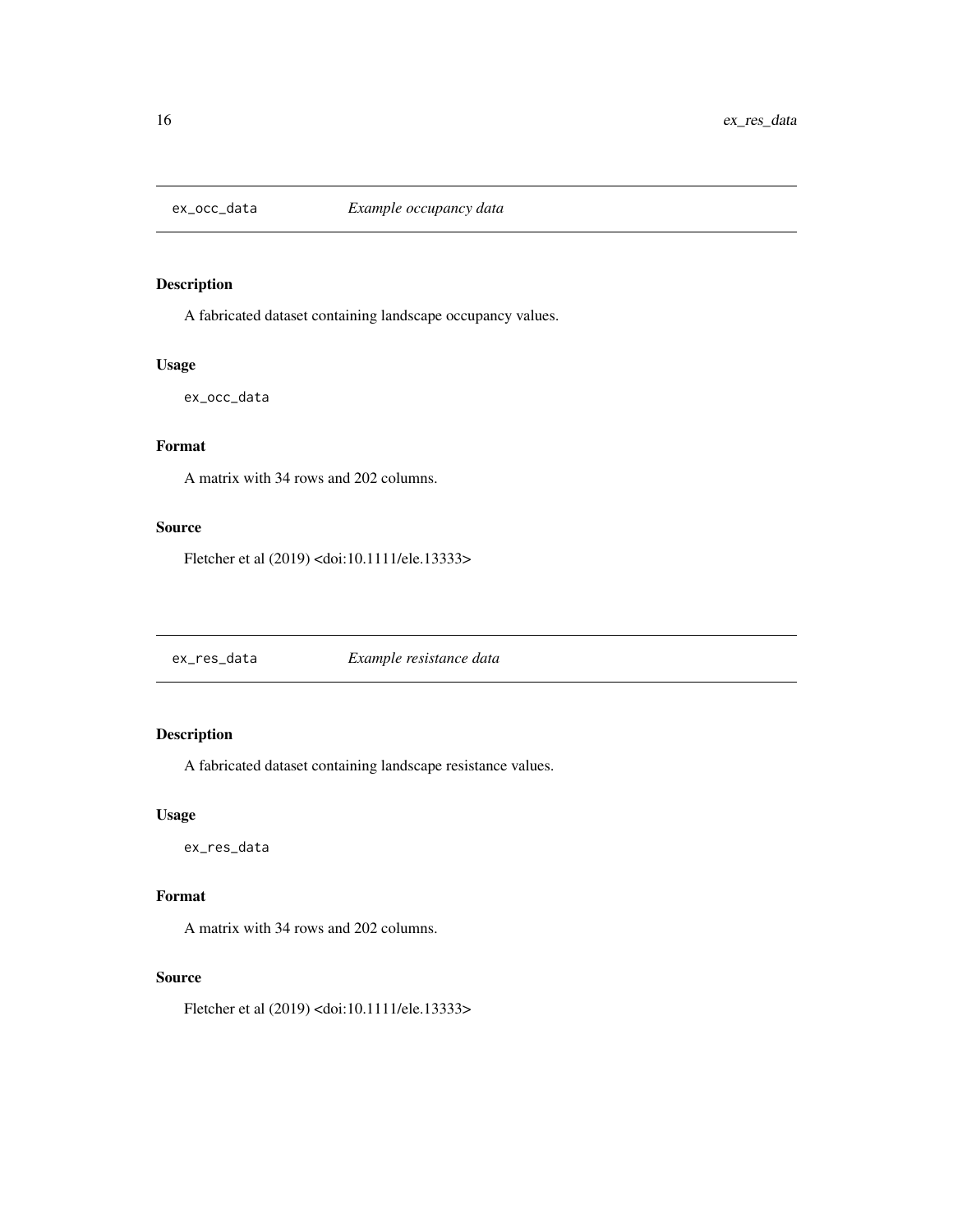<span id="page-15-0"></span>

# Description

A fabricated dataset containing landscape occupancy values.

# Usage

ex\_occ\_data

# Format

A matrix with 34 rows and 202 columns.

# Source

Fletcher et al (2019) <doi:10.1111/ele.13333>

ex\_res\_data *Example resistance data*

# Description

A fabricated dataset containing landscape resistance values.

# Usage

ex\_res\_data

# Format

A matrix with 34 rows and 202 columns.

# Source

Fletcher et al (2019) <doi:10.1111/ele.13333>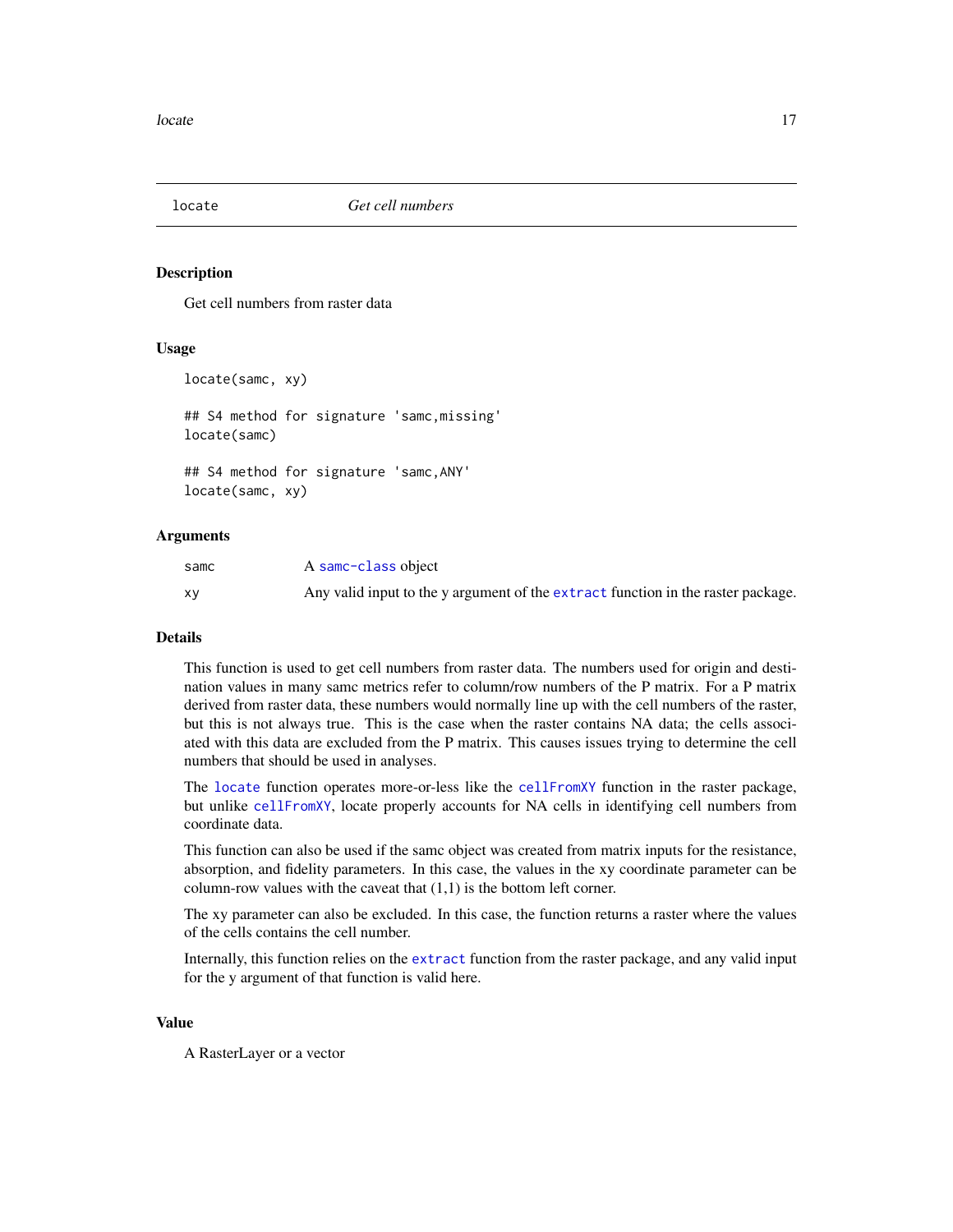<span id="page-16-1"></span><span id="page-16-0"></span>

# Description

Get cell numbers from raster data

# Usage

```
locate(samc, xy)
## S4 method for signature 'samc,missing'
locate(samc)
## S4 method for signature 'samc,ANY'
locate(samc, xy)
```
# Arguments

| samc | A samc-class object                                                              |
|------|----------------------------------------------------------------------------------|
| XV   | Any valid input to the y argument of the extract function in the raster package. |

# **Details**

This function is used to get cell numbers from raster data. The numbers used for origin and destination values in many samc metrics refer to column/row numbers of the P matrix. For a P matrix derived from raster data, these numbers would normally line up with the cell numbers of the raster, but this is not always true. This is the case when the raster contains NA data; the cells associated with this data are excluded from the P matrix. This causes issues trying to determine the cell numbers that should be used in analyses.

The [locate](#page-16-1) function operates more-or-less like the [cellFromXY](#page-0-0) function in the raster package, but unlike [cellFromXY](#page-0-0), locate properly accounts for NA cells in identifying cell numbers from coordinate data.

This function can also be used if the samc object was created from matrix inputs for the resistance, absorption, and fidelity parameters. In this case, the values in the xy coordinate parameter can be column-row values with the caveat that  $(1,1)$  is the bottom left corner.

The xy parameter can also be excluded. In this case, the function returns a raster where the values of the cells contains the cell number.

Internally, this function relies on the [extract](#page-0-0) function from the raster package, and any valid input for the y argument of that function is valid here.

#### Value

A RasterLayer or a vector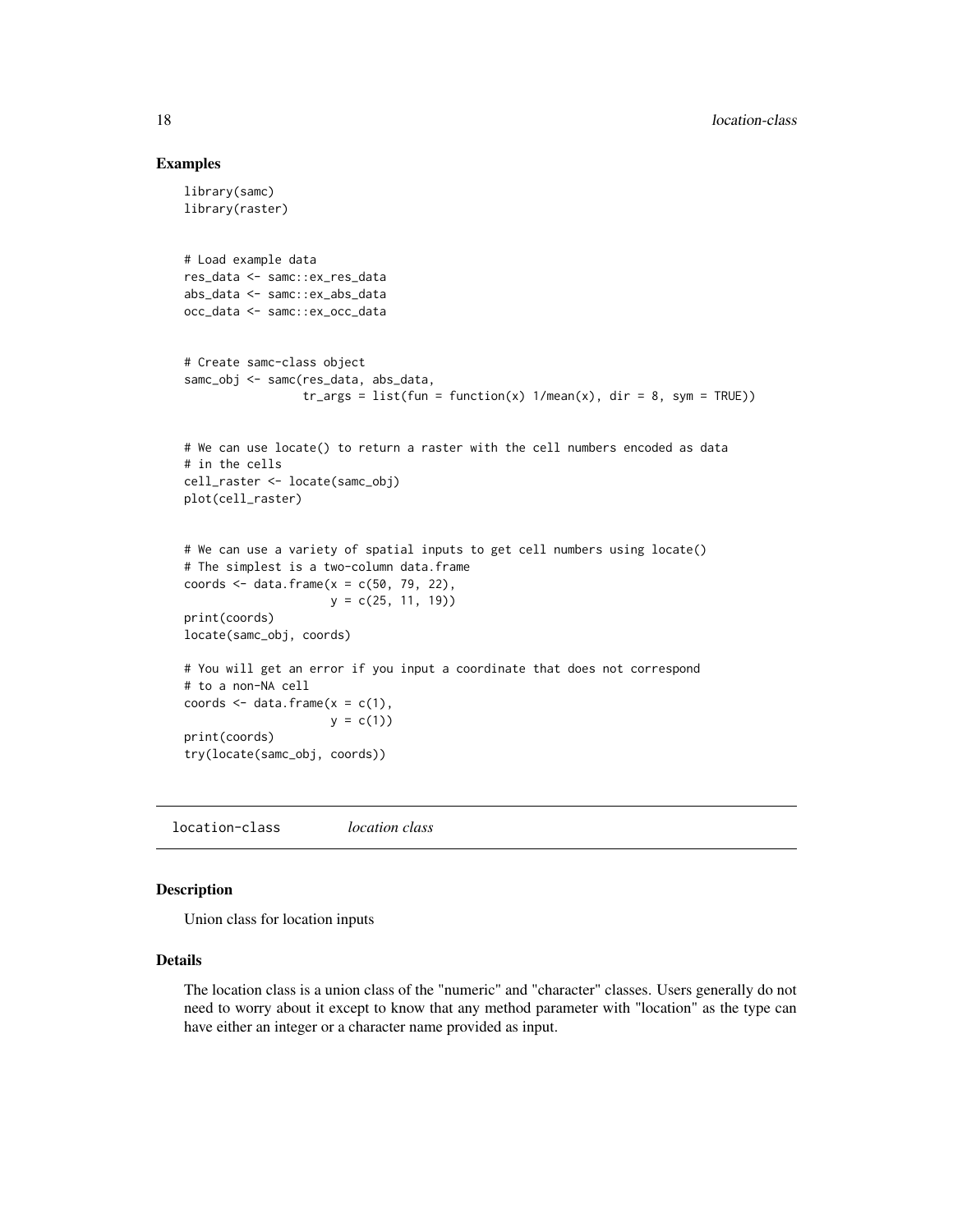# Examples

```
library(samc)
library(raster)
# Load example data
res_data <- samc::ex_res_data
abs_data <- samc::ex_abs_data
occ_data <- samc::ex_occ_data
# Create samc-class object
samc_obj <- samc(res_data, abs_data,
                 tr_{args} = list(fun = function(x) 1/mean(x), dir = 8, sym = TRUE)# We can use locate() to return a raster with the cell numbers encoded as data
# in the cells
cell_raster <- locate(samc_obj)
plot(cell_raster)
# We can use a variety of spatial inputs to get cell numbers using locate()
# The simplest is a two-column data.frame
coords \leq data.frame(x = c(50, 79, 22),
                     y = c(25, 11, 19)print(coords)
locate(samc_obj, coords)
# You will get an error if you input a coordinate that does not correspond
# to a non-NA cell
coords \leq data.frame(x = c(1),
                    y = c(1)print(coords)
try(locate(samc_obj, coords))
```
location-class *location class*

#### Description

Union class for location inputs

#### Details

The location class is a union class of the "numeric" and "character" classes. Users generally do not need to worry about it except to know that any method parameter with "location" as the type can have either an integer or a character name provided as input.

<span id="page-17-0"></span>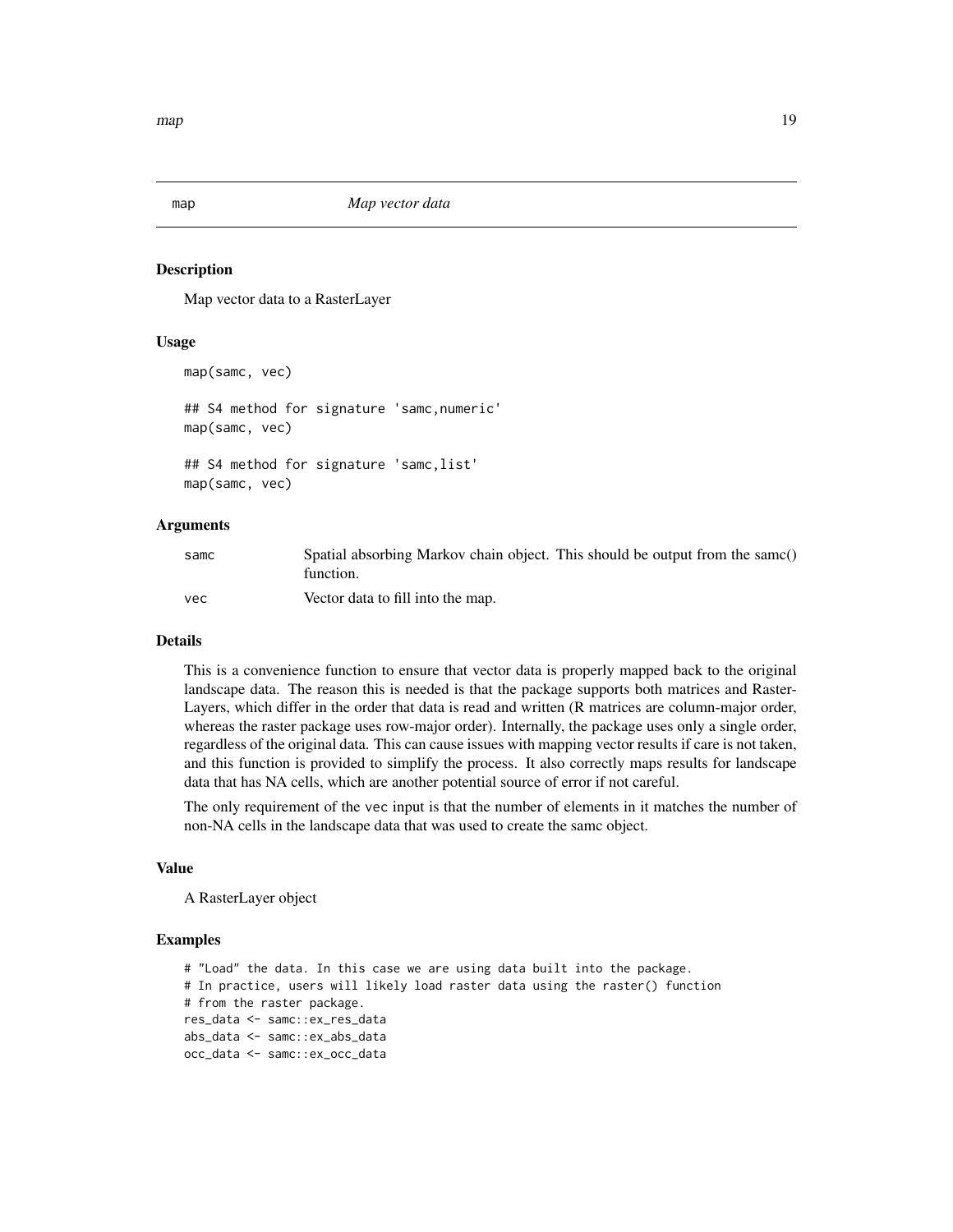<span id="page-18-1"></span><span id="page-18-0"></span>

# Description

Map vector data to a RasterLayer

# Usage

```
map(samc, vec)
## S4 method for signature 'samc,numeric'
map(samc, vec)
## S4 method for signature 'samc,list'
```
map(samc, vec)

# Arguments

| samc | Spatial absorbing Markov chain object. This should be output from the same()<br>function. |
|------|-------------------------------------------------------------------------------------------|
| vec  | Vector data to fill into the map.                                                         |

# Details

This is a convenience function to ensure that vector data is properly mapped back to the original landscape data. The reason this is needed is that the package supports both matrices and Raster-Layers, which differ in the order that data is read and written (R matrices are column-major order, whereas the raster package uses row-major order). Internally, the package uses only a single order, regardless of the original data. This can cause issues with mapping vector results if care is not taken, and this function is provided to simplify the process. It also correctly maps results for landscape data that has NA cells, which are another potential source of error if not careful.

The only requirement of the vec input is that the number of elements in it matches the number of non-NA cells in the landscape data that was used to create the samc object.

# Value

A RasterLayer object

```
# "Load" the data. In this case we are using data built into the package.
# In practice, users will likely load raster data using the raster() function
# from the raster package.
res_data <- samc::ex_res_data
abs_data <- samc::ex_abs_data
occ_data <- samc::ex_occ_data
```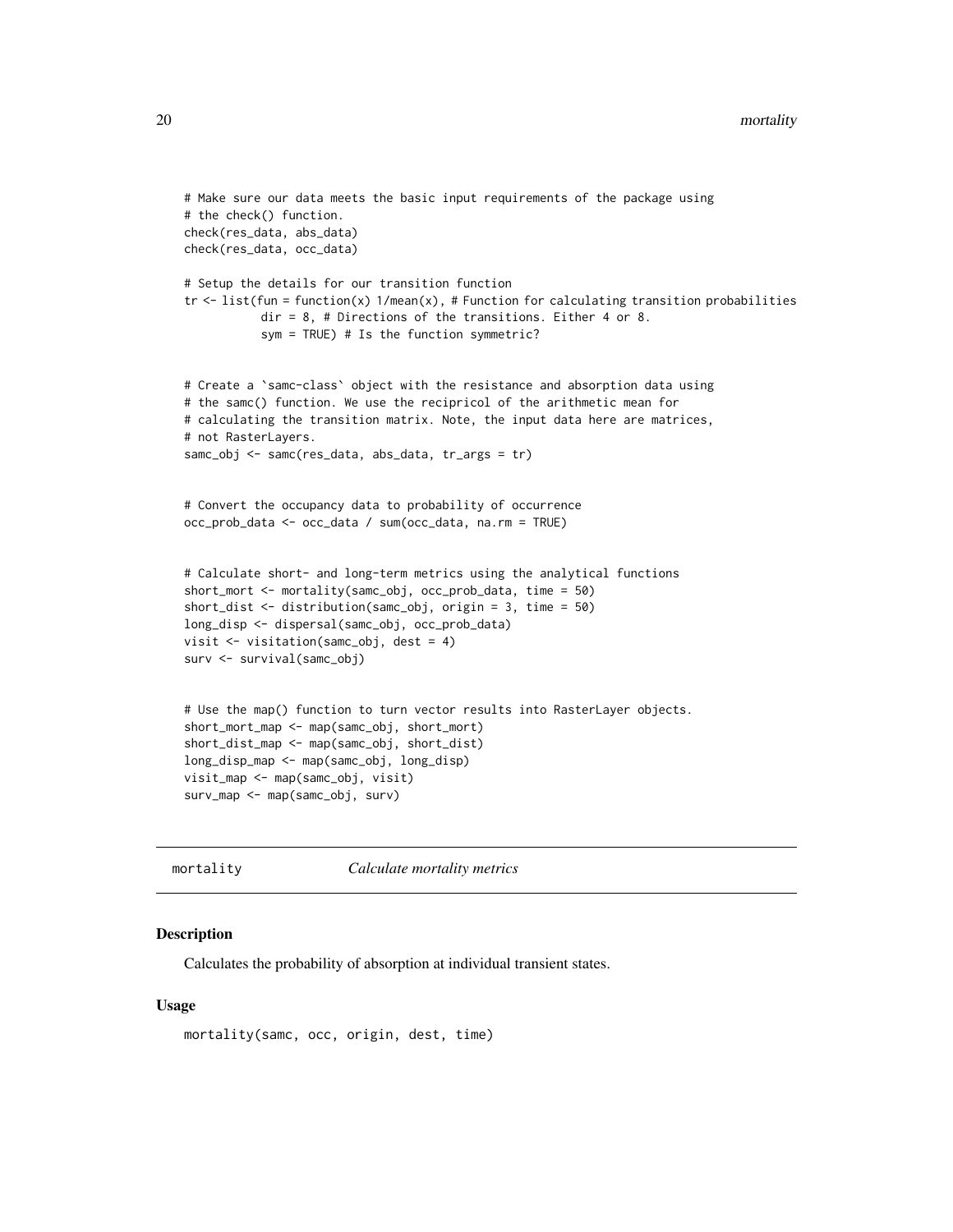```
# Make sure our data meets the basic input requirements of the package using
# the check() function.
check(res_data, abs_data)
check(res_data, occ_data)
# Setup the details for our transition function
tr \le list(fun = function(x) 1/mean(x), # Function for calculating transition probabilities
           dir = 8, # Directions of the transitions. Either 4 or 8.
           sym = TRUE) # Is the function symmetric?
# Create a `samc-class` object with the resistance and absorption data using
# the samc() function. We use the recipricol of the arithmetic mean for
# calculating the transition matrix. Note, the input data here are matrices,
# not RasterLayers.
samc_obj <- samc(res_data, abs_data, tr_args = tr)
# Convert the occupancy data to probability of occurrence
occ_prob_data <- occ_data / sum(occ_data, na.rm = TRUE)
# Calculate short- and long-term metrics using the analytical functions
short_mort <- mortality(samc_obj, occ_prob_data, time = 50)
short_dist <- distribution(samc_obj, origin = 3, time = 50)
long_disp <- dispersal(samc_obj, occ_prob_data)
visit <- visitation(samc_obj, dest = 4)
surv <- survival(samc_obj)
# Use the map() function to turn vector results into RasterLayer objects.
short_mort_map <- map(samc_obj, short_mort)
short_dist_map <- map(samc_obj, short_dist)
long_disp_map <- map(samc_obj, long_disp)
visit_map <- map(samc_obj, visit)
surv_map <- map(samc_obj, surv)
```
<span id="page-19-1"></span>mortality *Calculate mortality metrics*

# Description

Calculates the probability of absorption at individual transient states.

#### Usage

```
mortality(samc, occ, origin, dest, time)
```
<span id="page-19-0"></span>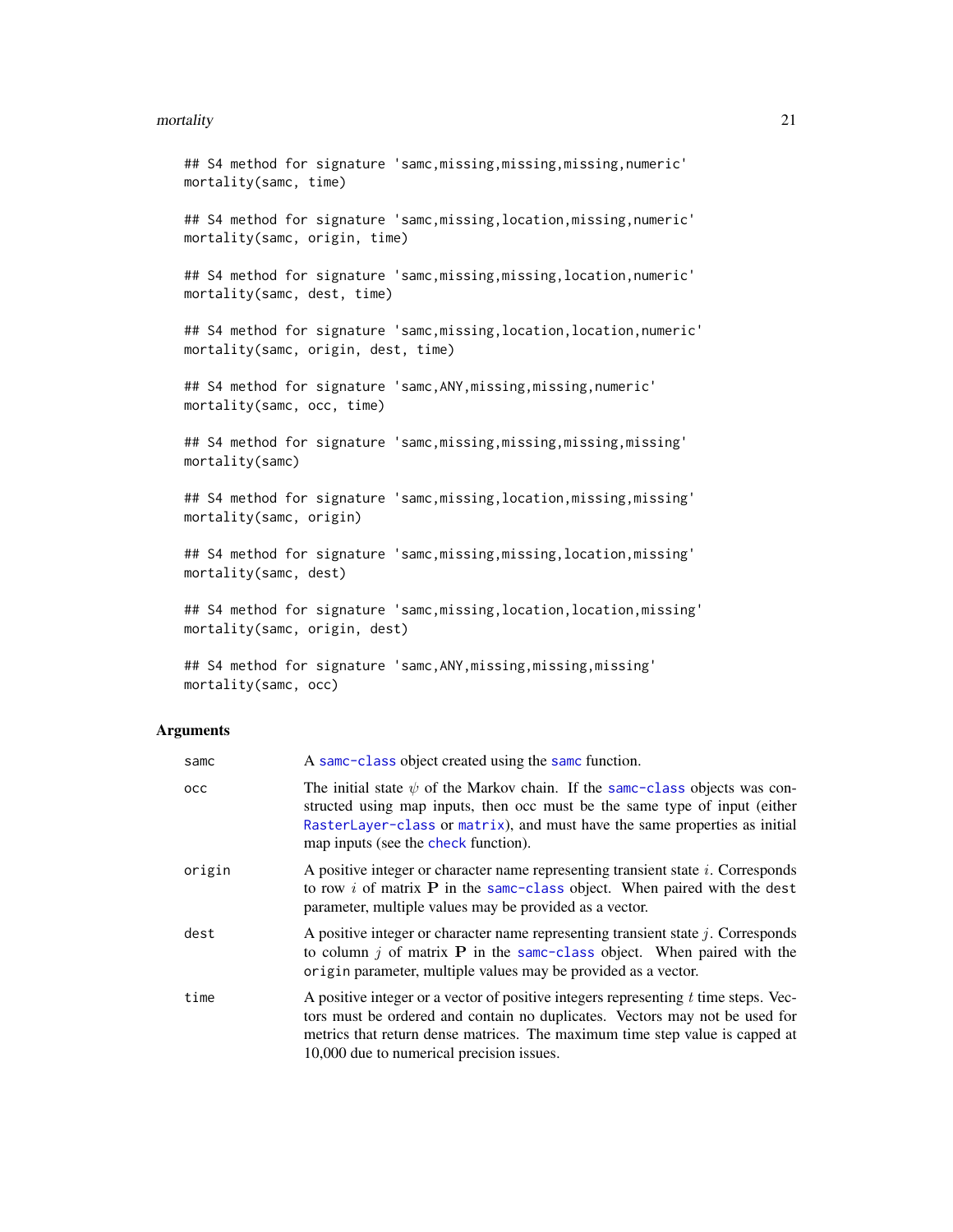#### <span id="page-20-0"></span>mortality 21

```
## S4 method for signature 'samc,missing,missing,missing,numeric'
mortality(samc, time)
## S4 method for signature 'samc, missing, location, missing, numeric'
mortality(samc, origin, time)
## S4 method for signature 'samc, missing, missing, location, numeric'
mortality(samc, dest, time)
## S4 method for signature 'samc, missing, location, location, numeric'
mortality(samc, origin, dest, time)
## S4 method for signature 'samc,ANY,missing,missing,numeric'
mortality(samc, occ, time)
## S4 method for signature 'samc,missing,missing,missing,missing'
mortality(samc)
## S4 method for signature 'samc,missing,location,missing,missing'
mortality(samc, origin)
## S4 method for signature 'samc,missing,missing,location,missing'
mortality(samc, dest)
## S4 method for signature 'samc, missing, location, location, missing'
mortality(samc, origin, dest)
```
## S4 method for signature 'samc, ANY, missing, missing, missing' mortality(samc, occ)

#### **Arguments**

| samc   | A same-class object created using the same function.                                                                                                                                                                                                                                              |
|--------|---------------------------------------------------------------------------------------------------------------------------------------------------------------------------------------------------------------------------------------------------------------------------------------------------|
| осс    | The initial state $\psi$ of the Markov chain. If the same-class objects was con-<br>structed using map inputs, then occ must be the same type of input (either<br>RasterLayer-class or matrix), and must have the same properties as initial<br>map inputs (see the check function).              |
| origin | A positive integer or character name representing transient state <i>i</i> . Corresponds<br>to row i of matrix $P$ in the same-class object. When paired with the dest<br>parameter, multiple values may be provided as a vector.                                                                 |
| dest   | A positive integer or character name representing transient state $j$ . Corresponds<br>to column $j$ of matrix <b>P</b> in the same-class object. When paired with the<br>origin parameter, multiple values may be provided as a vector.                                                          |
| time   | A positive integer or a vector of positive integers representing $t$ time steps. Vec-<br>tors must be ordered and contain no duplicates. Vectors may not be used for<br>metrics that return dense matrices. The maximum time step value is capped at<br>10,000 due to numerical precision issues. |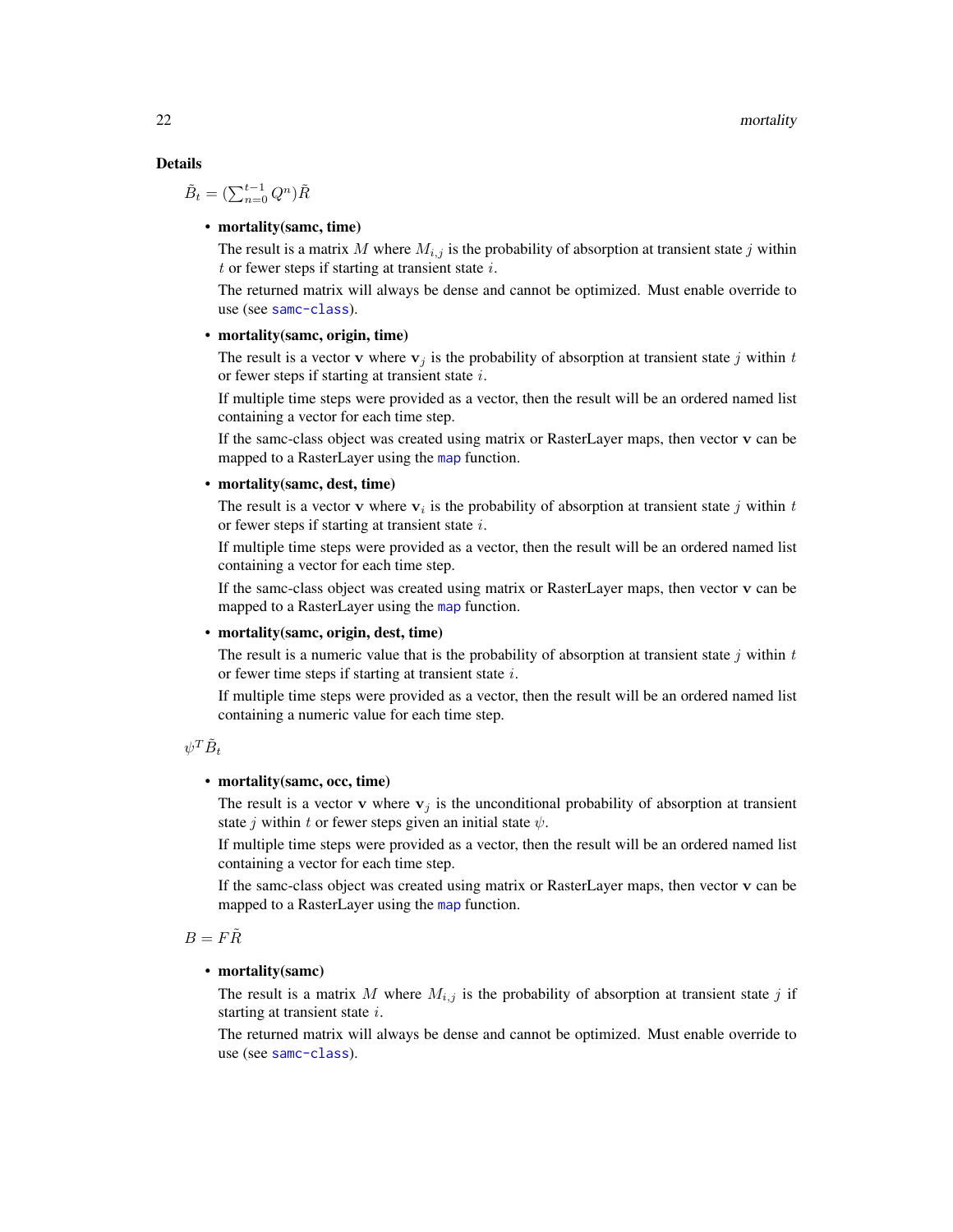# <span id="page-21-0"></span>Details

$$
\tilde{B}_t = (\sum_{n=0}^{t-1} Q^n) \tilde{R}
$$

# • mortality(samc, time)

The result is a matrix M where  $M_{i,j}$  is the probability of absorption at transient state j within  $t$  or fewer steps if starting at transient state  $i$ .

The returned matrix will always be dense and cannot be optimized. Must enable override to use (see [samc-class](#page-28-1)).

#### • mortality (samc, origin, time)

The result is a vector **v** where  $\mathbf{v}_j$  is the probability of absorption at transient state j within t or fewer steps if starting at transient state  $i$ .

If multiple time steps were provided as a vector, then the result will be an ordered named list containing a vector for each time step.

If the samc-class object was created using matrix or RasterLayer maps, then vector v can be [map](#page-18-1)ped to a RasterLayer using the map function.

#### • mortality(samc, dest, time)

The result is a vector v where  $v_i$  is the probability of absorption at transient state j within t or fewer steps if starting at transient state  $i$ .

If multiple time steps were provided as a vector, then the result will be an ordered named list containing a vector for each time step.

If the samc-class object was created using matrix or RasterLayer maps, then vector v can be mapped to a RasterLayer using the [map](#page-18-1) function.

# • mortality(samc, origin, dest, time)

The result is a numeric value that is the probability of absorption at transient state j within  $t$ or fewer time steps if starting at transient state  $i$ .

If multiple time steps were provided as a vector, then the result will be an ordered named list containing a numeric value for each time step.

 $\psi^T \tilde{B}_t$ 

# • mortality(samc, occ, time)

The result is a vector v where  $v_i$  is the unconditional probability of absorption at transient state j within t or fewer steps given an initial state  $\psi$ .

If multiple time steps were provided as a vector, then the result will be an ordered named list containing a vector for each time step.

If the samc-class object was created using matrix or RasterLayer maps, then vector v can be [map](#page-18-1)ped to a RasterLayer using the map function.

# $B = F\tilde{R}$

#### • mortality(samc)

The result is a matrix M where  $M_{i,j}$  is the probability of absorption at transient state j if starting at transient state i.

The returned matrix will always be dense and cannot be optimized. Must enable override to use (see [samc-class](#page-28-1)).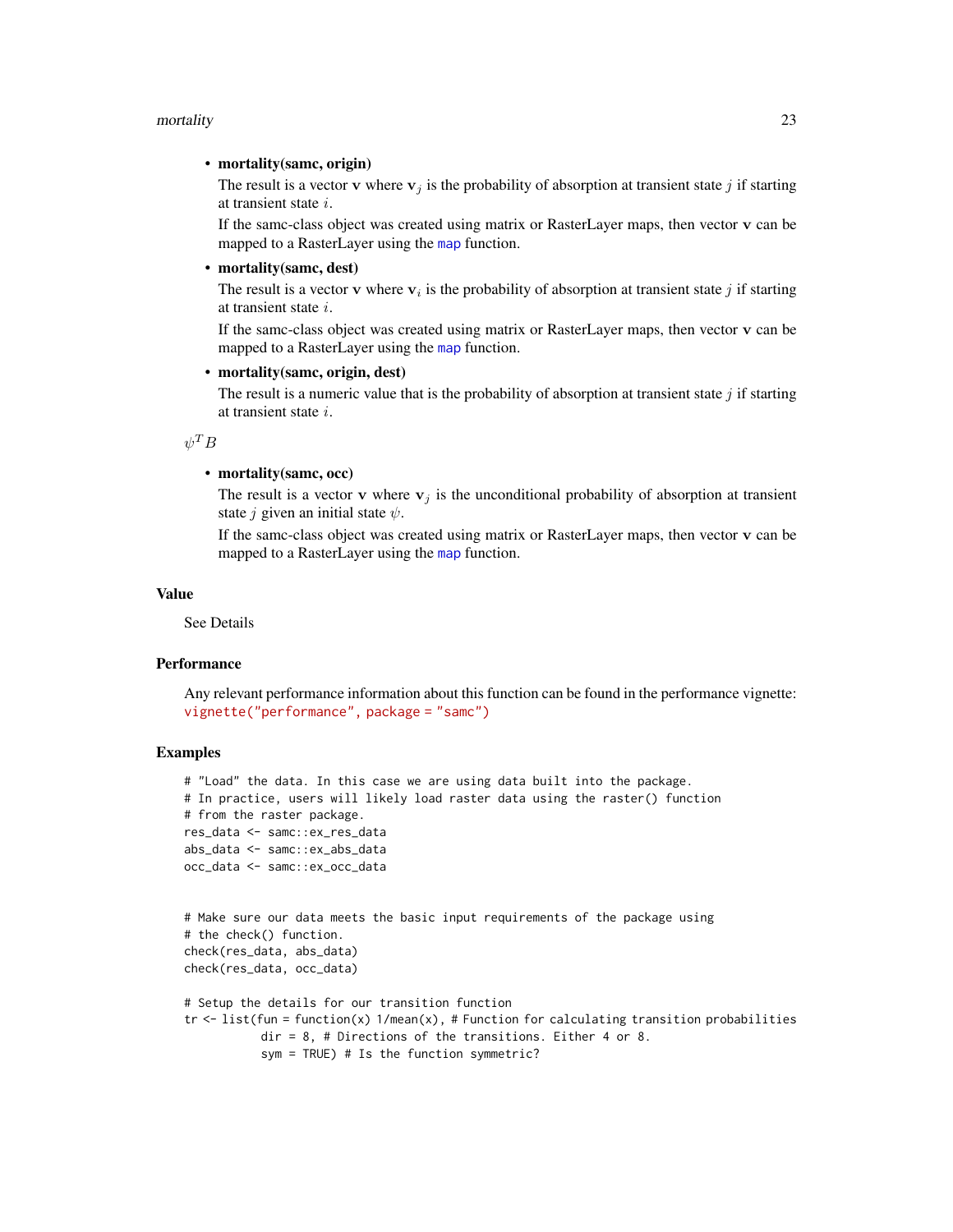#### <span id="page-22-0"></span>mortality 23

# • mortality(samc, origin)

The result is a vector v where  $v_j$  is the probability of absorption at transient state j if starting at transient state i.

If the samc-class object was created using matrix or RasterLayer maps, then vector v can be mapped to a RasterLayer using the [map](#page-18-1) function.

# • mortality(samc, dest)

The result is a vector v where  $v_i$  is the probability of absorption at transient state j if starting at transient state i.

If the samc-class object was created using matrix or RasterLayer maps, then vector v can be mapped to a RasterLayer using the [map](#page-18-1) function.

# • mortality(samc, origin, dest)

The result is a numeric value that is the probability of absorption at transient state  $j$  if starting at transient state i.

 $\psi^T B$ 

# • mortality(samc, occ)

The result is a vector v where  $v_j$  is the unconditional probability of absorption at transient state *j* given an initial state  $\psi$ .

If the samc-class object was created using matrix or RasterLayer maps, then vector v can be mapped to a RasterLayer using the [map](#page-18-1) function.

#### Value

See Details

#### **Performance**

Any relevant performance information about this function can be found in the performance vignette: [vignette\("performance", package = "samc"\)](../doc/performance.html)

```
# "Load" the data. In this case we are using data built into the package.
# In practice, users will likely load raster data using the raster() function
# from the raster package.
res_data <- samc::ex_res_data
abs_data <- samc::ex_abs_data
occ_data <- samc::ex_occ_data
# Make sure our data meets the basic input requirements of the package using
# the check() function.
check(res_data, abs_data)
check(res_data, occ_data)
# Setup the details for our transition function
```

```
tr < - list(fun = function(x) 1/mean(x), # Function for calculating transition probabilities
          dir = 8, # Directions of the transitions. Either 4 or 8.
          sym = TRUE) # Is the function symmetric?
```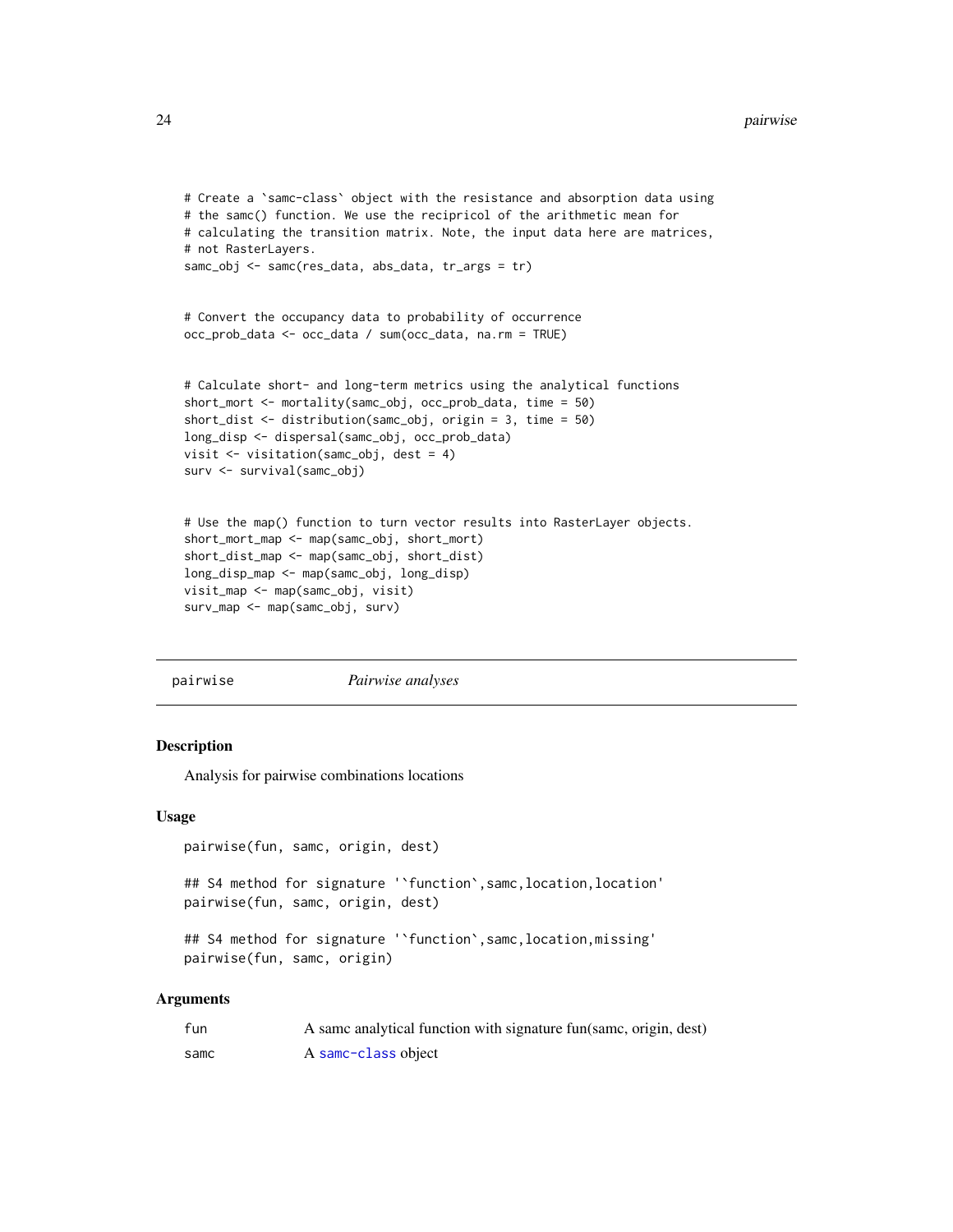```
# Create a `samc-class` object with the resistance and absorption data using
# the samc() function. We use the recipricol of the arithmetic mean for
# calculating the transition matrix. Note, the input data here are matrices,
# not RasterLayers.
samc_obj <- samc(res_data, abs_data, tr_args = tr)
# Convert the occupancy data to probability of occurrence
occ_prob_data <- occ_data / sum(occ_data, na.rm = TRUE)
# Calculate short- and long-term metrics using the analytical functions
short_mort <- mortality(samc_obj, occ_prob_data, time = 50)
short_dist <- distribution(samc_obj, origin = 3, time = 50)
long_disp <- dispersal(samc_obj, occ_prob_data)
visit <- visitation(samc_obj, dest = 4)
surv <- survival(samc_obj)
# Use the map() function to turn vector results into RasterLayer objects.
short_mort_map <- map(samc_obj, short_mort)
short_dist_map <- map(samc_obj, short_dist)
long_disp_map <- map(samc_obj, long_disp)
visit_map <- map(samc_obj, visit)
```

```
surv_map <- map(samc_obj, surv)
```
pairwise *Pairwise analyses*

# **Description**

Analysis for pairwise combinations locations

# Usage

```
pairwise(fun, samc, origin, dest)
```
## S4 method for signature '`function`,samc,location,location' pairwise(fun, samc, origin, dest)

## S4 method for signature '`function`,samc,location,missing' pairwise(fun, samc, origin)

# Arguments

| fun  | A same analytical function with signature fun(same, origin, dest) |
|------|-------------------------------------------------------------------|
| samc | A samc-class object                                               |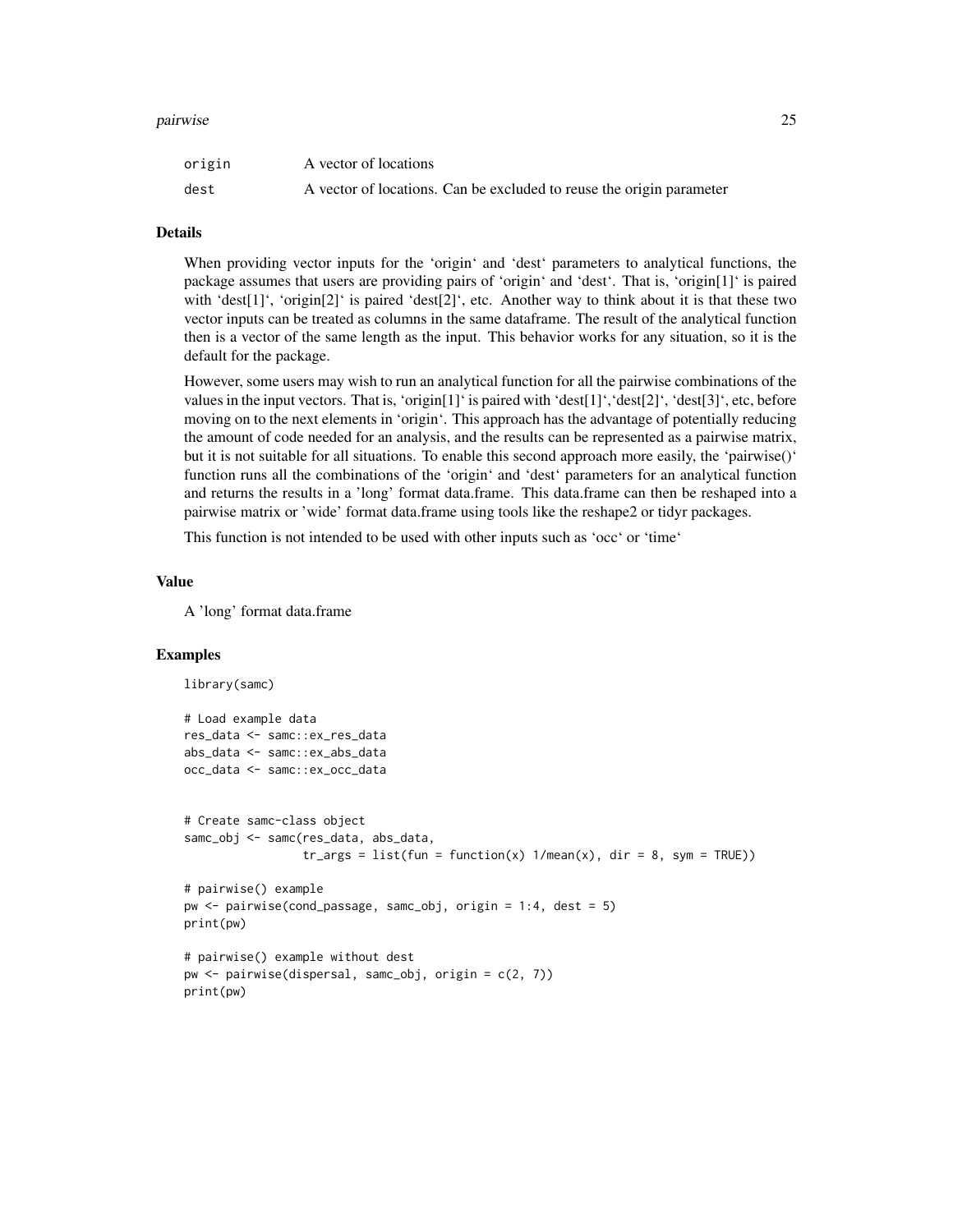#### pairwise 25

| origin | A vector of locations                                                |
|--------|----------------------------------------------------------------------|
| dest   | A vector of locations. Can be excluded to reuse the origin parameter |

# Details

When providing vector inputs for the 'origin' and 'dest' parameters to analytical functions, the package assumes that users are providing pairs of 'origin' and 'dest'. That is, 'origin[1]' is paired with 'dest[1]', 'origin[2]' is paired 'dest[2]', etc. Another way to think about it is that these two vector inputs can be treated as columns in the same dataframe. The result of the analytical function then is a vector of the same length as the input. This behavior works for any situation, so it is the default for the package.

However, some users may wish to run an analytical function for all the pairwise combinations of the values in the input vectors. That is, 'origin[1]' is paired with 'dest[1]', 'dest[2]', 'dest[3]', etc, before moving on to the next elements in 'origin'. This approach has the advantage of potentially reducing the amount of code needed for an analysis, and the results can be represented as a pairwise matrix, but it is not suitable for all situations. To enable this second approach more easily, the 'pairwise()' function runs all the combinations of the 'origin' and 'dest' parameters for an analytical function and returns the results in a 'long' format data.frame. This data.frame can then be reshaped into a pairwise matrix or 'wide' format data.frame using tools like the reshape2 or tidyr packages.

This function is not intended to be used with other inputs such as 'occ' or 'time'

# Value

A 'long' format data.frame

```
library(samc)
# Load example data
res_data <- samc::ex_res_data
abs_data <- samc::ex_abs_data
occ_data <- samc::ex_occ_data
# Create samc-class object
samc_obj <- samc(res_data, abs_data,
                 tr_{args} = list(fun = function(x) 1/mean(x), dir = 8, sym = TRUE)# pairwise() example
pw <- pairwise(cond_passage, samc_obj, origin = 1:4, dest = 5)
print(pw)
# pairwise() example without dest
pw <- pairwise(dispersal, samc_obj, origin = c(2, 7))
print(pw)
```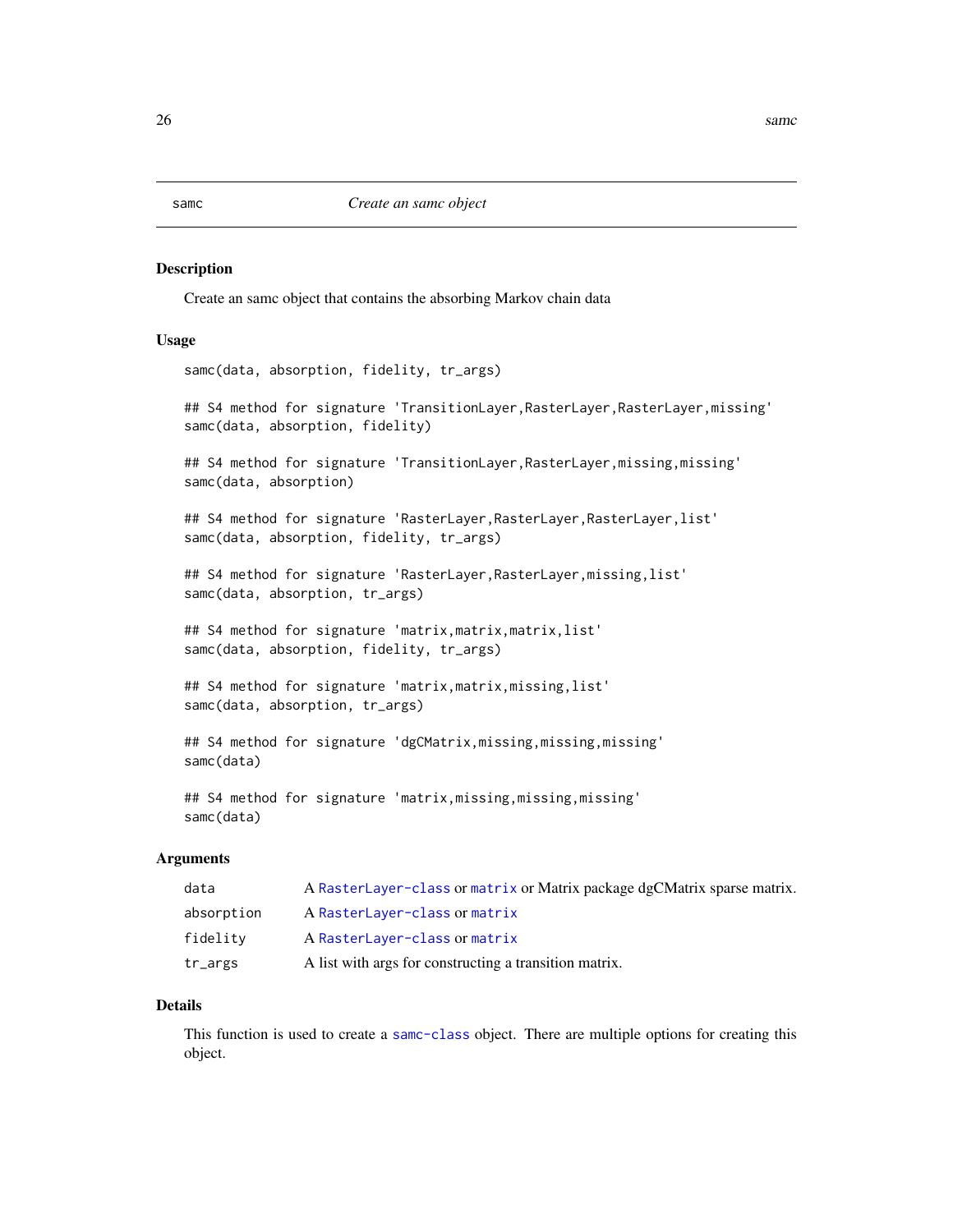# Description

Create an samc object that contains the absorbing Markov chain data

# Usage

samc(data, absorption, fidelity, tr\_args)

## S4 method for signature 'TransitionLayer, RasterLayer, RasterLayer, missing' samc(data, absorption, fidelity)

## S4 method for signature 'TransitionLayer, RasterLayer, missing, missing' samc(data, absorption)

## S4 method for signature 'RasterLayer, RasterLayer, RasterLayer, list' samc(data, absorption, fidelity, tr\_args)

## S4 method for signature 'RasterLayer,RasterLayer,missing,list' samc(data, absorption, tr\_args)

## S4 method for signature 'matrix,matrix,matrix,list' samc(data, absorption, fidelity, tr\_args)

```
## S4 method for signature 'matrix,matrix,missing,list'
samc(data, absorption, tr_args)
```
## S4 method for signature 'dgCMatrix, missing, missing, missing' samc(data)

## S4 method for signature 'matrix, missing, missing, missing' samc(data)

# Arguments

| data               | A RasterLayer-class or matrix or Matrix package dgCMatrix sparse matrix. |
|--------------------|--------------------------------------------------------------------------|
| absorption         | A RasterLayer-class or matrix                                            |
| fidelity           | A RasterLayer-class or matrix                                            |
| $tr_{\text{a}rgs}$ | A list with args for constructing a transition matrix.                   |

#### Details

This function is used to create a [samc-class](#page-28-1) object. There are multiple options for creating this object.

# <span id="page-25-1"></span><span id="page-25-0"></span>samc *Create an samc object*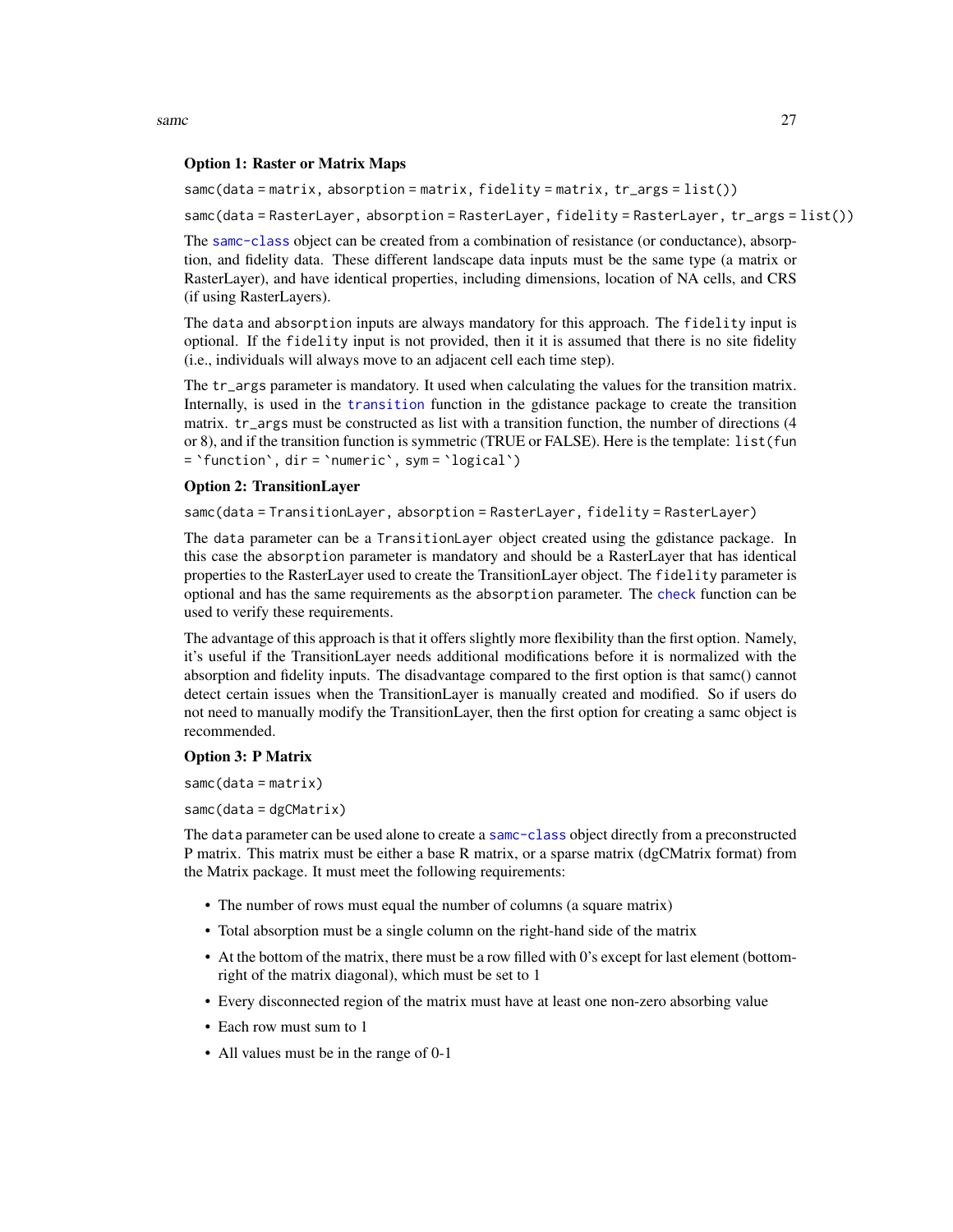<span id="page-26-0"></span>samc 27

# Option 1: Raster or Matrix Maps

samc(data = matrix, absorption = matrix, fidelity = matrix, tr\_args = list())

samc(data = RasterLayer, absorption = RasterLayer, fidelity = RasterLayer, tr\_args = list())

The [samc-class](#page-28-1) object can be created from a combination of resistance (or conductance), absorption, and fidelity data. These different landscape data inputs must be the same type (a matrix or RasterLayer), and have identical properties, including dimensions, location of NA cells, and CRS (if using RasterLayers).

The data and absorption inputs are always mandatory for this approach. The fidelity input is optional. If the fidelity input is not provided, then it it is assumed that there is no site fidelity (i.e., individuals will always move to an adjacent cell each time step).

The tr\_args parameter is mandatory. It used when calculating the values for the transition matrix. Internally, is used in the [transition](#page-0-0) function in the gdistance package to create the transition matrix. tr\_args must be constructed as list with a transition function, the number of directions (4 or 8), and if the transition function is symmetric (TRUE or FALSE). Here is the template: list(fun = `function`, dir = `numeric`, sym = `logical`)

# Option 2: TransitionLayer

samc(data = TransitionLayer, absorption = RasterLayer, fidelity = RasterLayer)

The data parameter can be a TransitionLayer object created using the gdistance package. In this case the absorption parameter is mandatory and should be a RasterLayer that has identical properties to the RasterLayer used to create the TransitionLayer object. The fidelity parameter is optional and has the same requirements as the absorption parameter. The [check](#page-4-1) function can be used to verify these requirements.

The advantage of this approach is that it offers slightly more flexibility than the first option. Namely, it's useful if the TransitionLayer needs additional modifications before it is normalized with the absorption and fidelity inputs. The disadvantage compared to the first option is that samc() cannot detect certain issues when the TransitionLayer is manually created and modified. So if users do not need to manually modify the TransitionLayer, then the first option for creating a samc object is recommended.

# Option 3: P Matrix

samc(data = matrix)

samc(data = dgCMatrix)

The data parameter can be used alone to create a [samc-class](#page-28-1) object directly from a preconstructed P matrix. This matrix must be either a base R matrix, or a sparse matrix (dgCMatrix format) from the Matrix package. It must meet the following requirements:

- The number of rows must equal the number of columns (a square matrix)
- Total absorption must be a single column on the right-hand side of the matrix
- At the bottom of the matrix, there must be a row filled with 0's except for last element (bottomright of the matrix diagonal), which must be set to 1
- Every disconnected region of the matrix must have at least one non-zero absorbing value
- Each row must sum to 1
- All values must be in the range of 0-1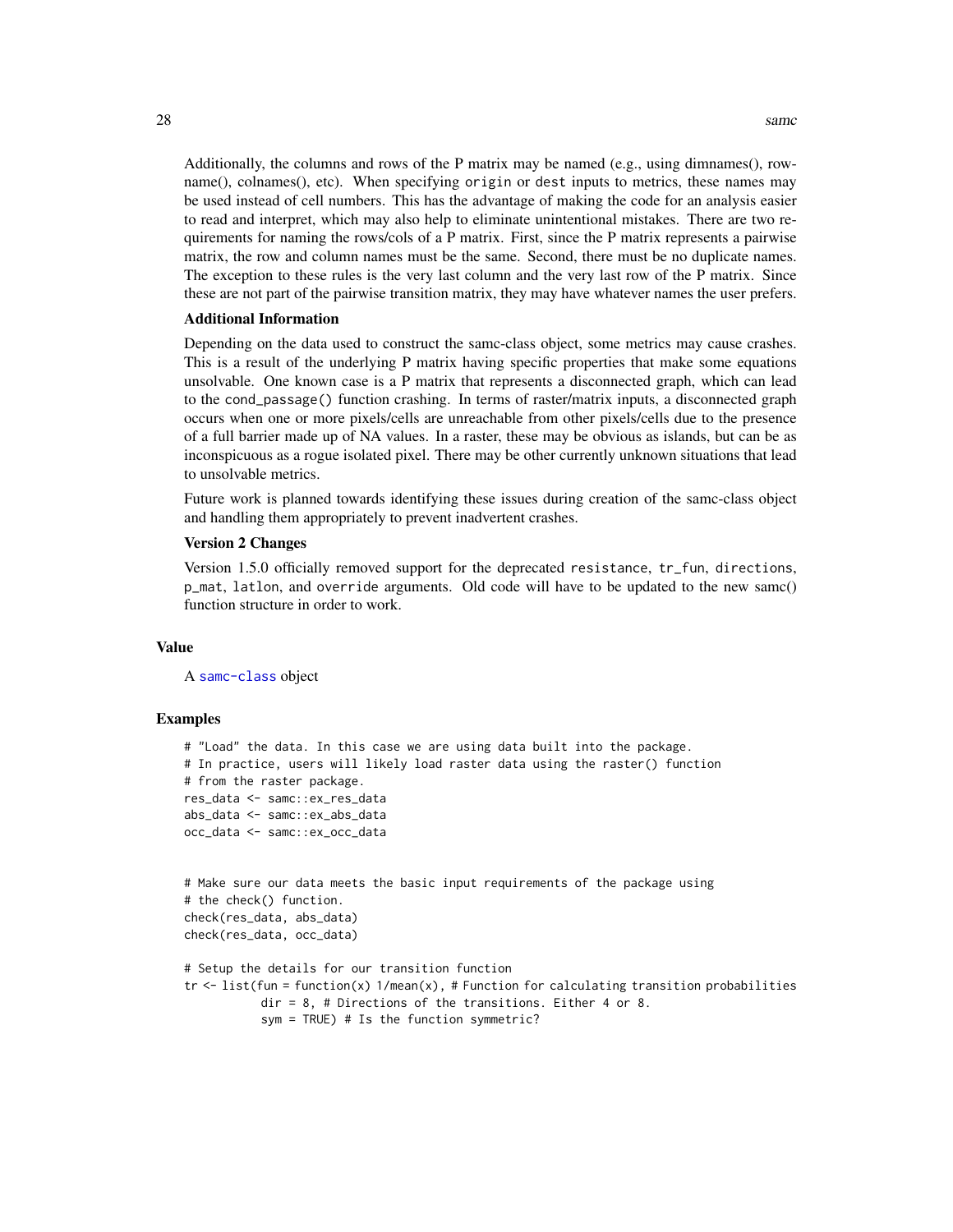Additionally, the columns and rows of the P matrix may be named (e.g., using dimnames(), rowname(), colnames(), etc). When specifying origin or dest inputs to metrics, these names may be used instead of cell numbers. This has the advantage of making the code for an analysis easier to read and interpret, which may also help to eliminate unintentional mistakes. There are two requirements for naming the rows/cols of a P matrix. First, since the P matrix represents a pairwise matrix, the row and column names must be the same. Second, there must be no duplicate names. The exception to these rules is the very last column and the very last row of the P matrix. Since these are not part of the pairwise transition matrix, they may have whatever names the user prefers.

#### Additional Information

Depending on the data used to construct the samc-class object, some metrics may cause crashes. This is a result of the underlying P matrix having specific properties that make some equations unsolvable. One known case is a P matrix that represents a disconnected graph, which can lead to the cond\_passage() function crashing. In terms of raster/matrix inputs, a disconnected graph occurs when one or more pixels/cells are unreachable from other pixels/cells due to the presence of a full barrier made up of NA values. In a raster, these may be obvious as islands, but can be as inconspicuous as a rogue isolated pixel. There may be other currently unknown situations that lead to unsolvable metrics.

Future work is planned towards identifying these issues during creation of the samc-class object and handling them appropriately to prevent inadvertent crashes.

# Version 2 Changes

Version 1.5.0 officially removed support for the deprecated resistance, tr\_fun, directions, p\_mat, latlon, and override arguments. Old code will have to be updated to the new samc() function structure in order to work.

# Value

A [samc-class](#page-28-1) object

```
# "Load" the data. In this case we are using data built into the package.
# In practice, users will likely load raster data using the raster() function
# from the raster package.
res_data <- samc::ex_res_data
abs_data <- samc::ex_abs_data
occ_data <- samc::ex_occ_data
# Make sure our data meets the basic input requirements of the package using
# the check() function.
check(res_data, abs_data)
check(res_data, occ_data)
# Setup the details for our transition function
```

```
tr \le list(fun = function(x) 1/mean(x), # Function for calculating transition probabilities
          dir = 8, # Directions of the transitions. Either 4 or 8.
           sym = TRUE) # Is the function symmetric?
```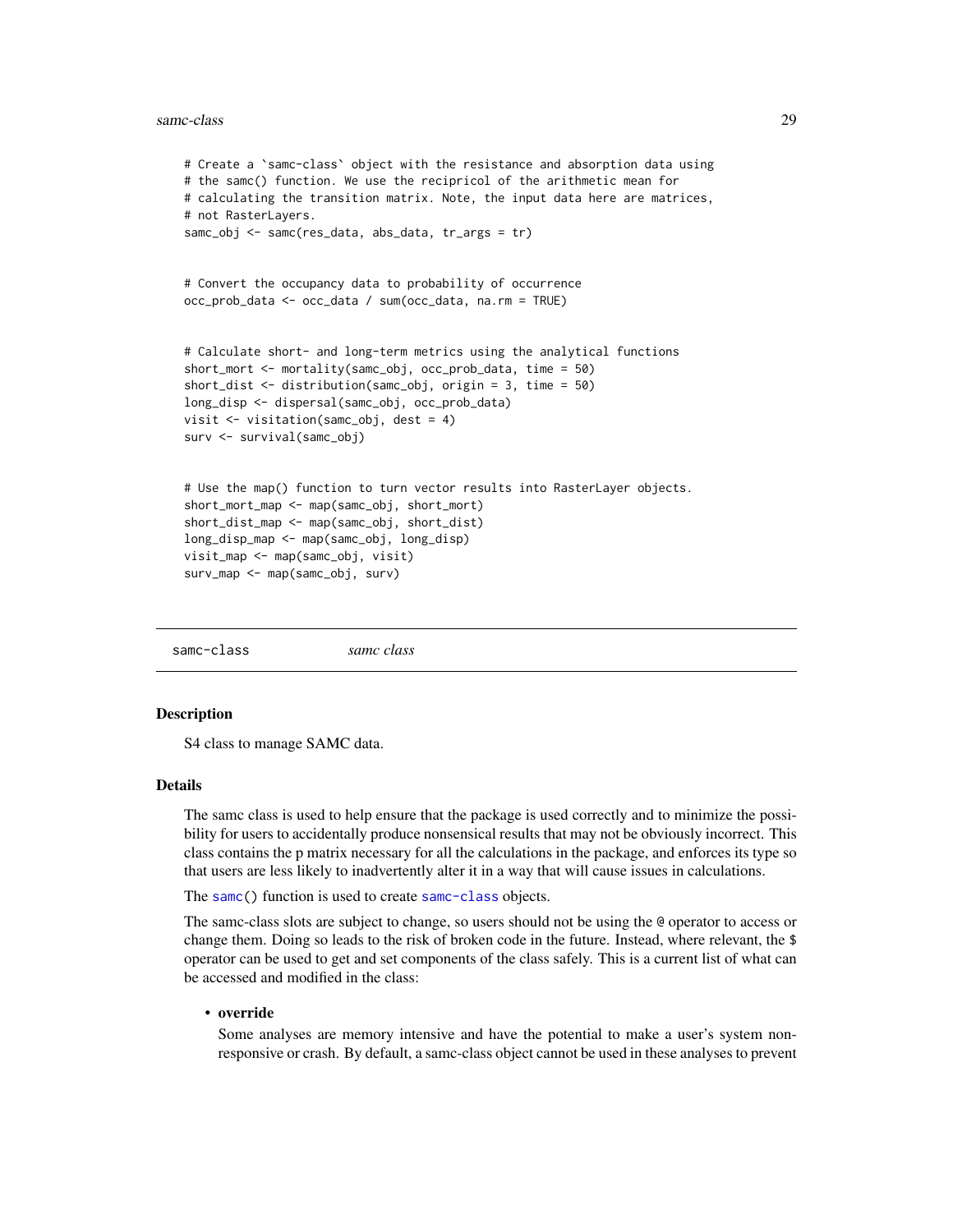#### <span id="page-28-0"></span>samc-class 29

```
# Create a `samc-class` object with the resistance and absorption data using
# the samc() function. We use the recipricol of the arithmetic mean for
# calculating the transition matrix. Note, the input data here are matrices,
# not RasterLayers.
samc_obj <- samc(res_data, abs_data, tr_args = tr)
# Convert the occupancy data to probability of occurrence
occ_prob_data <- occ_data / sum(occ_data, na.rm = TRUE)
# Calculate short- and long-term metrics using the analytical functions
short_mort <- mortality(samc_obj, occ_prob_data, time = 50)
short_dist <- distribution(samc_obj, origin = 3, time = 50)
long_disp <- dispersal(samc_obj, occ_prob_data)
visit <- visitation(samc_obj, dest = 4)
surv <- survival(samc_obj)
# Use the map() function to turn vector results into RasterLayer objects.
short_mort_map <- map(samc_obj, short_mort)
short_dist_map <- map(samc_obj, short_dist)
long_disp_map <- map(samc_obj, long_disp)
visit_map <- map(samc_obj, visit)
surv_map <- map(samc_obj, surv)
```
<span id="page-28-1"></span>samc-class *samc class*

#### **Description**

S4 class to manage SAMC data.

# **Details**

The samc class is used to help ensure that the package is used correctly and to minimize the possibility for users to accidentally produce nonsensical results that may not be obviously incorrect. This class contains the p matrix necessary for all the calculations in the package, and enforces its type so that users are less likely to inadvertently alter it in a way that will cause issues in calculations.

The [samc\(](#page-25-1)) function is used to create [samc-class](#page-28-1) objects.

The samc-class slots are subject to change, so users should not be using the @ operator to access or change them. Doing so leads to the risk of broken code in the future. Instead, where relevant, the \$ operator can be used to get and set components of the class safely. This is a current list of what can be accessed and modified in the class:

# • override

Some analyses are memory intensive and have the potential to make a user's system nonresponsive or crash. By default, a samc-class object cannot be used in these analyses to prevent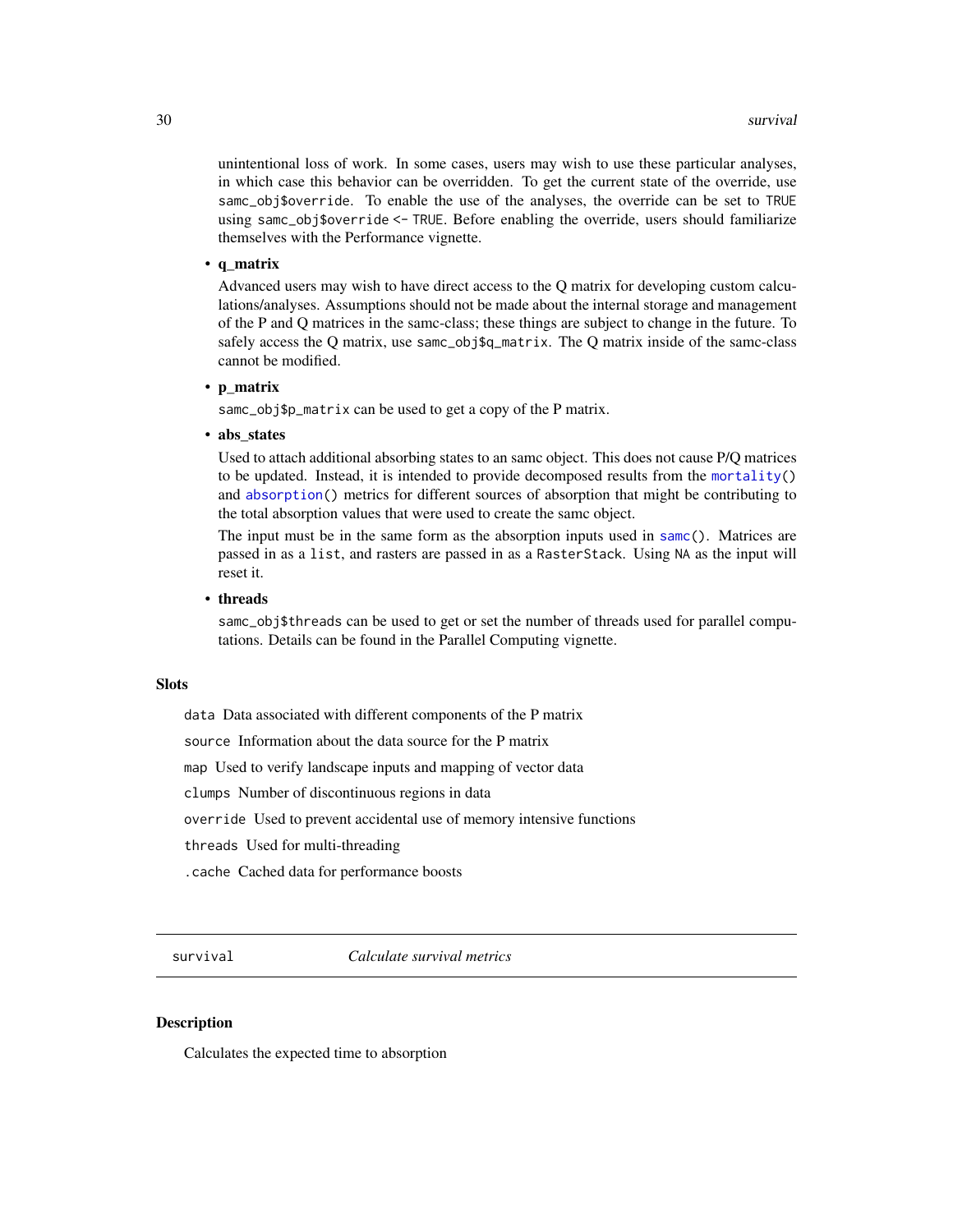<span id="page-29-0"></span>unintentional loss of work. In some cases, users may wish to use these particular analyses, in which case this behavior can be overridden. To get the current state of the override, use samc\_obj\$override. To enable the use of the analyses, the override can be set to TRUE using samc\_obj\$override <- TRUE. Before enabling the override, users should familiarize themselves with the Performance vignette.

# • q\_matrix

Advanced users may wish to have direct access to the Q matrix for developing custom calculations/analyses. Assumptions should not be made about the internal storage and management of the P and Q matrices in the samc-class; these things are subject to change in the future. To safely access the Q matrix, use samc\_obj\$q\_matrix. The Q matrix inside of the samc-class cannot be modified.

# • p\_matrix

samc\_obj\$p\_matrix can be used to get a copy of the P matrix.

# • abs states

Used to attach additional absorbing states to an samc object. This does not cause P/Q matrices to be updated. Instead, it is intended to provide decomposed results from the [mortality\(](#page-19-1)) and [absorption\(](#page-1-1)) metrics for different sources of absorption that might be contributing to the total absorption values that were used to create the samc object.

The input must be in the same form as the absorption inputs used in [samc\(](#page-25-1)). Matrices are passed in as a list, and rasters are passed in as a RasterStack. Using NA as the input will reset it.

# • threads

samc\_obj\$threads can be used to get or set the number of threads used for parallel computations. Details can be found in the Parallel Computing vignette.

# **Slots**

data Data associated with different components of the P matrix

source Information about the data source for the P matrix

map Used to verify landscape inputs and mapping of vector data

clumps Number of discontinuous regions in data

override Used to prevent accidental use of memory intensive functions

threads Used for multi-threading

.cache Cached data for performance boosts

survival *Calculate survival metrics*

# **Description**

Calculates the expected time to absorption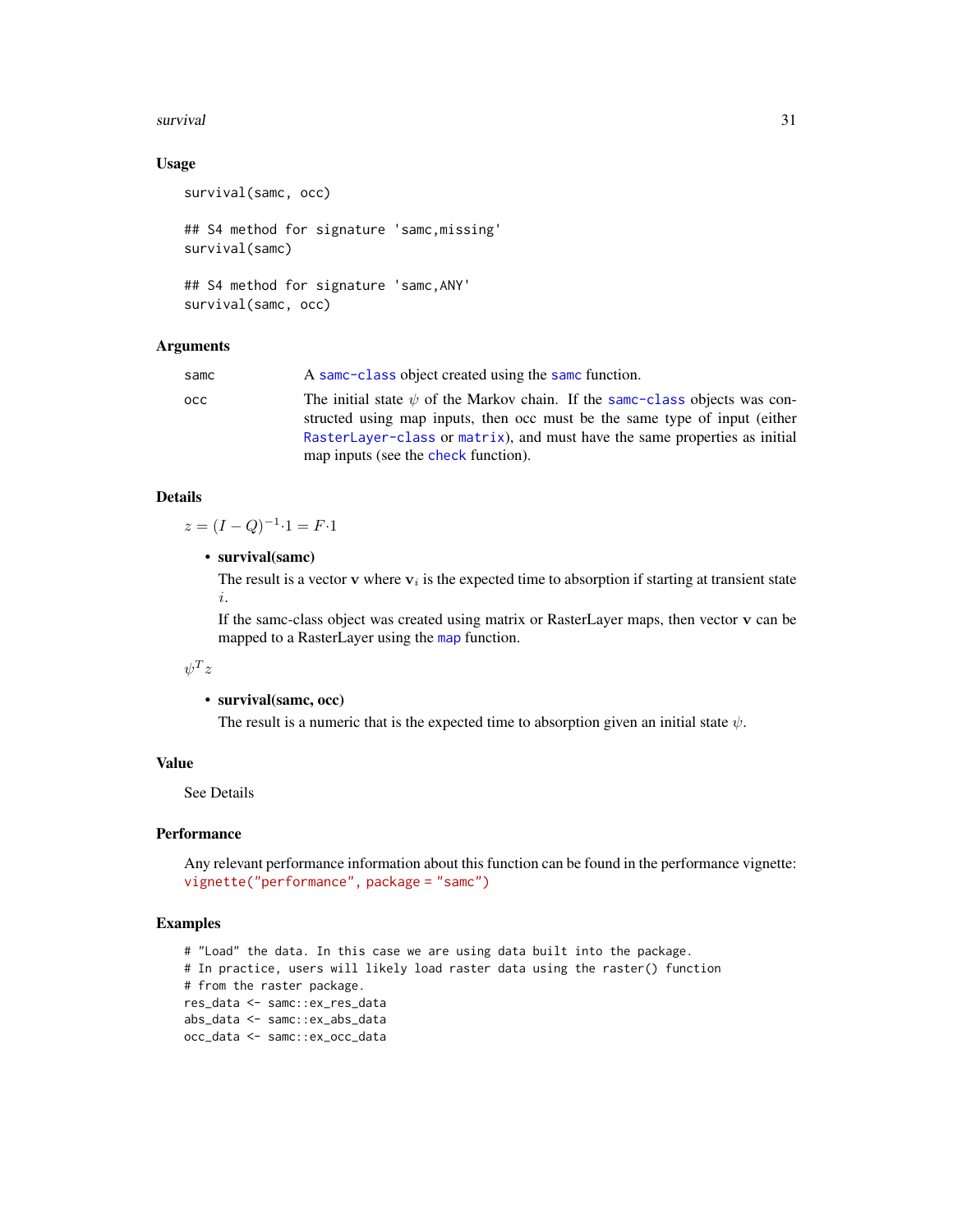# <span id="page-30-0"></span>survival 31

# Usage

survival(samc, occ)

## S4 method for signature 'samc,missing' survival(samc)

## S4 method for signature 'samc,ANY' survival(samc, occ)

# Arguments

| samc | A same-class object created using the same function.                                                                                                                                                                                                                                 |
|------|--------------------------------------------------------------------------------------------------------------------------------------------------------------------------------------------------------------------------------------------------------------------------------------|
| осс  | The initial state $\psi$ of the Markov chain. If the same-class objects was con-<br>structed using map inputs, then occ must be the same type of input (either<br>RasterLayer-class or matrix), and must have the same properties as initial<br>map inputs (see the check function). |
|      |                                                                                                                                                                                                                                                                                      |

# Details

 $z = (I - Q)^{-1} \cdot 1 = F \cdot 1$ 

• survival(samc)

The result is a vector  $\bf{v}$  where  $\bf{v}_i$  is the expected time to absorption if starting at transient state i.

If the samc-class object was created using matrix or RasterLayer maps, then vector v can be mapped to a RasterLayer using the [map](#page-18-1) function.

# $\psi^T z$

# • survival(samc, occ)

The result is a numeric that is the expected time to absorption given an initial state  $\psi$ .

# Value

See Details

# **Performance**

Any relevant performance information about this function can be found in the performance vignette: [vignette\("performance", package = "samc"\)](../doc/performance.html)

```
# "Load" the data. In this case we are using data built into the package.
# In practice, users will likely load raster data using the raster() function
# from the raster package.
res_data <- samc::ex_res_data
abs_data <- samc::ex_abs_data
occ_data <- samc::ex_occ_data
```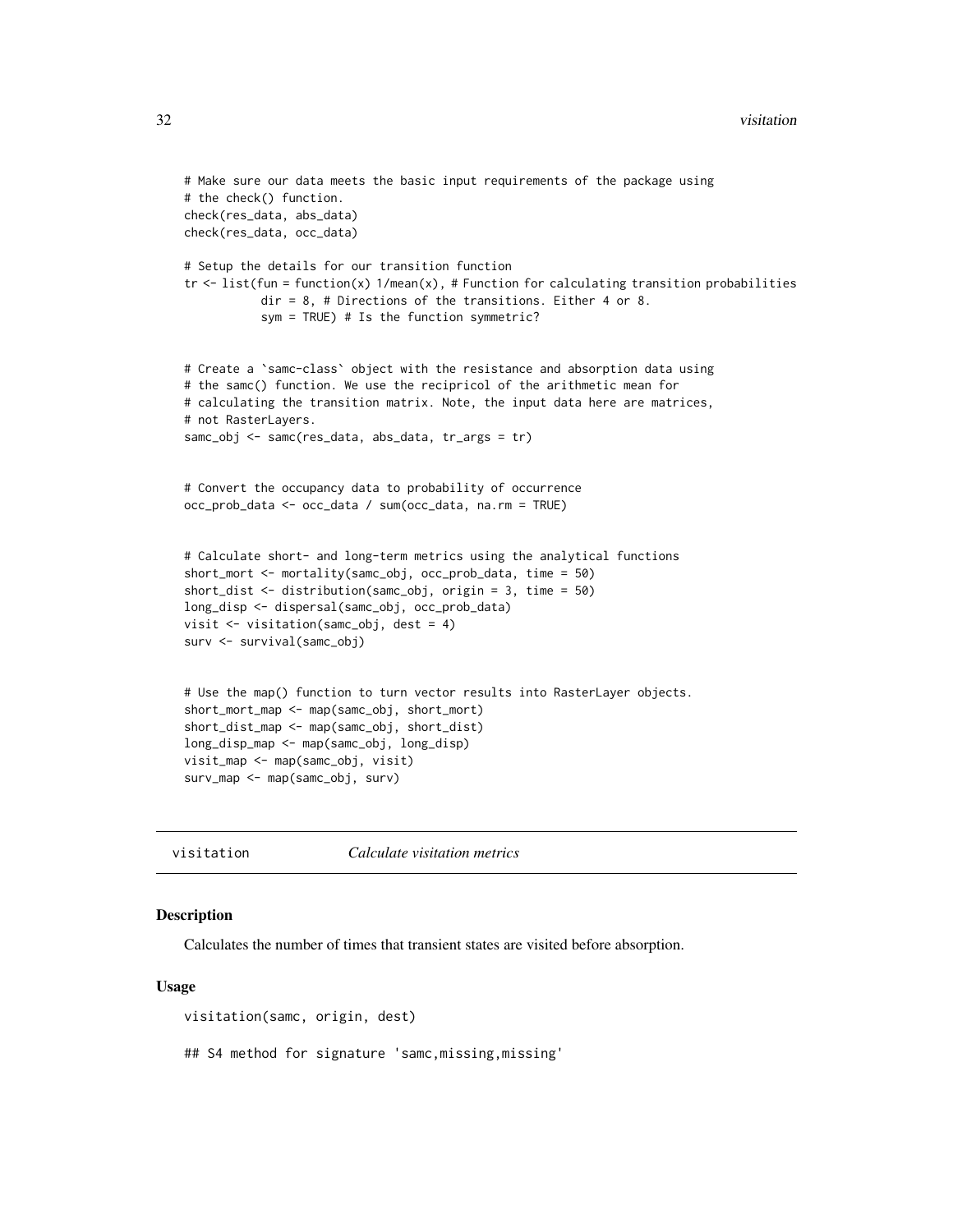```
# Make sure our data meets the basic input requirements of the package using
# the check() function.
check(res_data, abs_data)
check(res_data, occ_data)
# Setup the details for our transition function
tr < - list(fun = function(x) 1/mean(x), # Function for calculating transition probabilities
           dir = 8, # Directions of the transitions. Either 4 or 8.
           sym = TRUE) # Is the function symmetric?
# Create a `samc-class` object with the resistance and absorption data using
# the samc() function. We use the recipricol of the arithmetic mean for
# calculating the transition matrix. Note, the input data here are matrices,
# not RasterLayers.
samc_obj <- samc(res_data, abs_data, tr_args = tr)
# Convert the occupancy data to probability of occurrence
occ_prob_data <- occ_data / sum(occ_data, na.rm = TRUE)
# Calculate short- and long-term metrics using the analytical functions
short_mort <- mortality(samc_obj, occ_prob_data, time = 50)
short_dist <- distribution(samc_obj, origin = 3, time = 50)
long_disp <- dispersal(samc_obj, occ_prob_data)
visit <- visitation(samc_obj, dest = 4)
surv <- survival(samc_obj)
# Use the map() function to turn vector results into RasterLayer objects.
short_mort_map <- map(samc_obj, short_mort)
short_dist_map <- map(samc_obj, short_dist)
long_disp_map <- map(samc_obj, long_disp)
visit_map <- map(samc_obj, visit)
surv_map <- map(samc_obj, surv)
```
visitation *Calculate visitation metrics*

# Description

Calculates the number of times that transient states are visited before absorption.

# Usage

visitation(samc, origin, dest)

## S4 method for signature 'samc,missing,missing'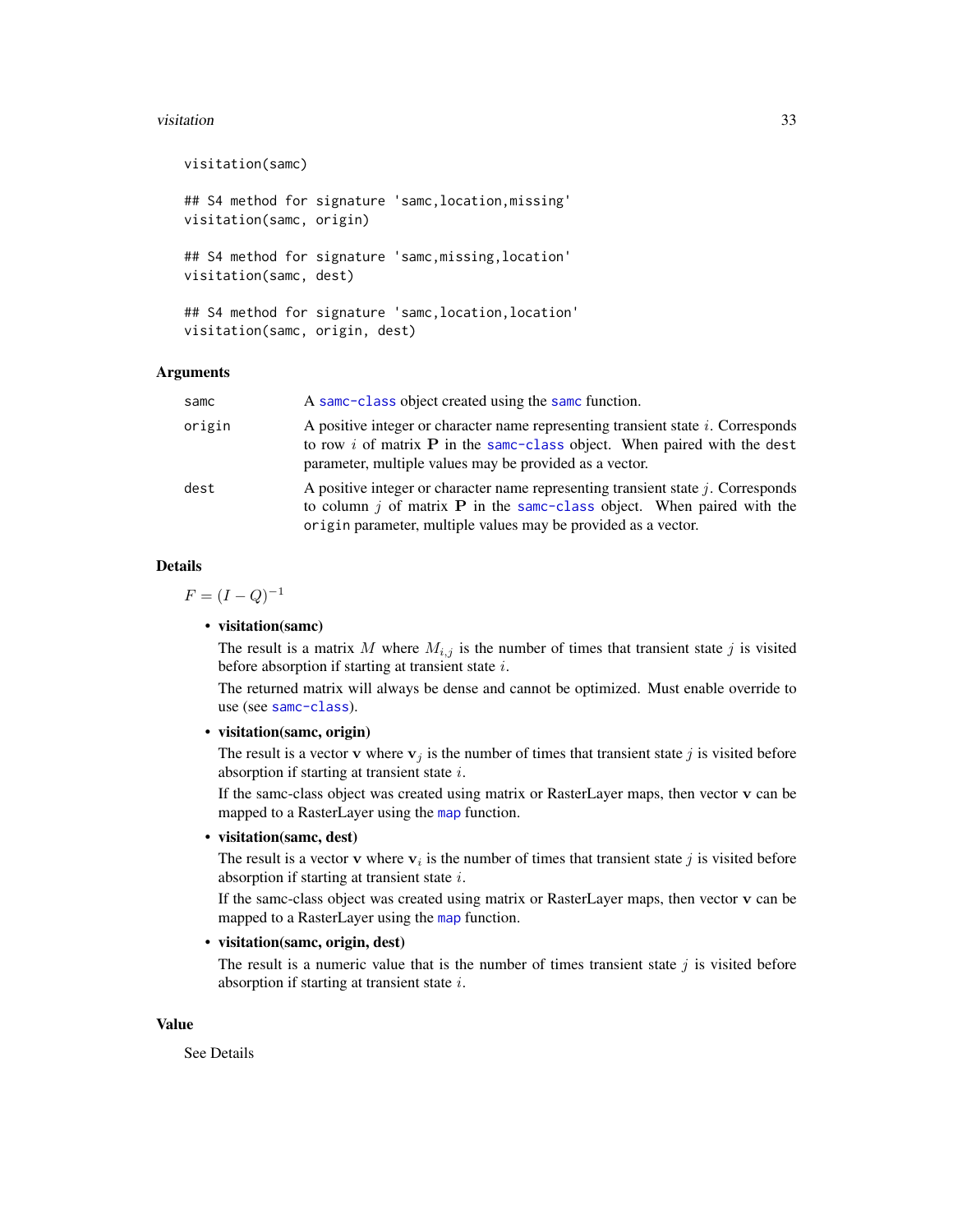#### <span id="page-32-0"></span>visitation 33

visitation(samc) ## S4 method for signature 'samc,location,missing' visitation(samc, origin) ## S4 method for signature 'samc,missing,location' visitation(samc, dest) ## S4 method for signature 'samc,location,location' visitation(samc, origin, dest)

# Arguments

| samc   | A same-class object created using the same function.                                                                                                                                                                                     |
|--------|------------------------------------------------------------------------------------------------------------------------------------------------------------------------------------------------------------------------------------------|
| origin | A positive integer or character name representing transient state $i$ . Corresponds<br>to row i of matrix $P$ in the same-class object. When paired with the dest<br>parameter, multiple values may be provided as a vector.             |
| dest   | A positive integer or character name representing transient state $j$ . Corresponds<br>to column $j$ of matrix <b>P</b> in the same-class object. When paired with the<br>origin parameter, multiple values may be provided as a vector. |

# Details

 $F = (I - Q)^{-1}$ 

# • visitation(samc)

The result is a matrix M where  $M_{i,j}$  is the number of times that transient state j is visited before absorption if starting at transient state i.

The returned matrix will always be dense and cannot be optimized. Must enable override to use (see [samc-class](#page-28-1)).

• visitation(samc, origin)

The result is a vector **v** where  $v_j$  is the number of times that transient state j is visited before absorption if starting at transient state  $i$ .

If the samc-class object was created using matrix or RasterLayer maps, then vector v can be [map](#page-18-1)ped to a RasterLayer using the map function.

• visitation(samc, dest)

The result is a vector v where  $v_i$  is the number of times that transient state j is visited before absorption if starting at transient state  $i$ .

If the samc-class object was created using matrix or RasterLayer maps, then vector v can be [map](#page-18-1)ped to a RasterLayer using the map function.

# • visitation(samc, origin, dest)

The result is a numeric value that is the number of times transient state  $j$  is visited before absorption if starting at transient state  $i$ .

# Value

See Details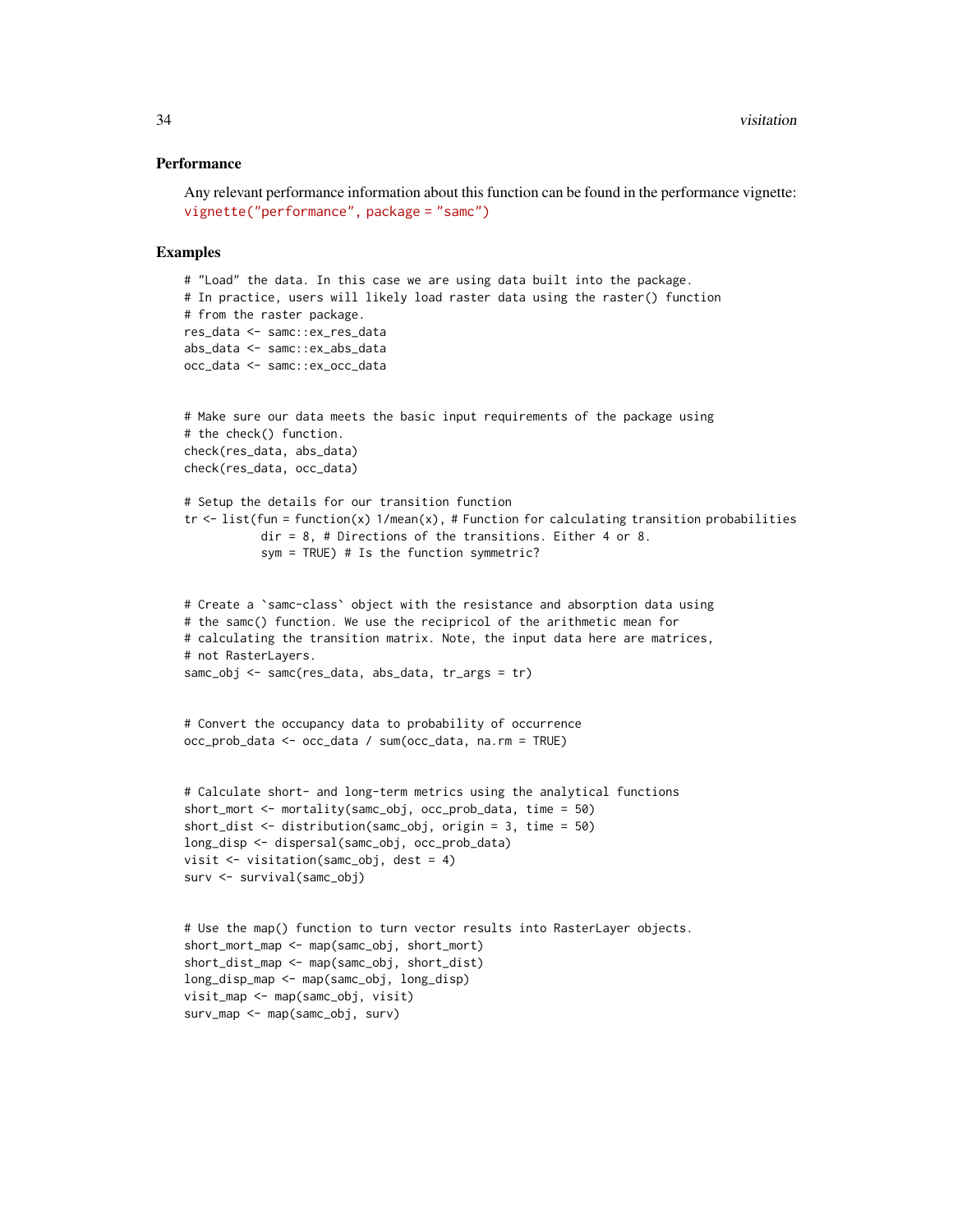#### **Performance**

```
Any relevant performance information about this function can be found in the performance vignette:
vignette("performance", package = "samc")
```

```
# "Load" the data. In this case we are using data built into the package.
# In practice, users will likely load raster data using the raster() function
# from the raster package.
res_data <- samc::ex_res_data
abs_data <- samc::ex_abs_data
occ_data <- samc::ex_occ_data
# Make sure our data meets the basic input requirements of the package using
# the check() function.
check(res_data, abs_data)
check(res_data, occ_data)
# Setup the details for our transition function
tr \le list(fun = function(x) 1/mean(x), # Function for calculating transition probabilities
           dir = 8, # Directions of the transitions. Either 4 or 8.
           sym = TRUE) # Is the function symmetric?
# Create a `samc-class` object with the resistance and absorption data using
# the samc() function. We use the recipricol of the arithmetic mean for
# calculating the transition matrix. Note, the input data here are matrices,
# not RasterLayers.
samc_obj <- samc(res_data, abs_data, tr_args = tr)
# Convert the occupancy data to probability of occurrence
occ_prob_data <- occ_data / sum(occ_data, na.rm = TRUE)
# Calculate short- and long-term metrics using the analytical functions
short_mort <- mortality(samc_obj, occ_prob_data, time = 50)
short_dist <- distribution(samc_obj, origin = 3, time = 50)
long_disp <- dispersal(samc_obj, occ_prob_data)
visit <- visitation(samc_obj, dest = 4)
surv <- survival(samc_obj)
# Use the map() function to turn vector results into RasterLayer objects.
short_mort_map <- map(samc_obj, short_mort)
short_dist_map <- map(samc_obj, short_dist)
long_disp_map <- map(samc_obj, long_disp)
visit_map <- map(samc_obj, visit)
surv_map <- map(samc_obj, surv)
```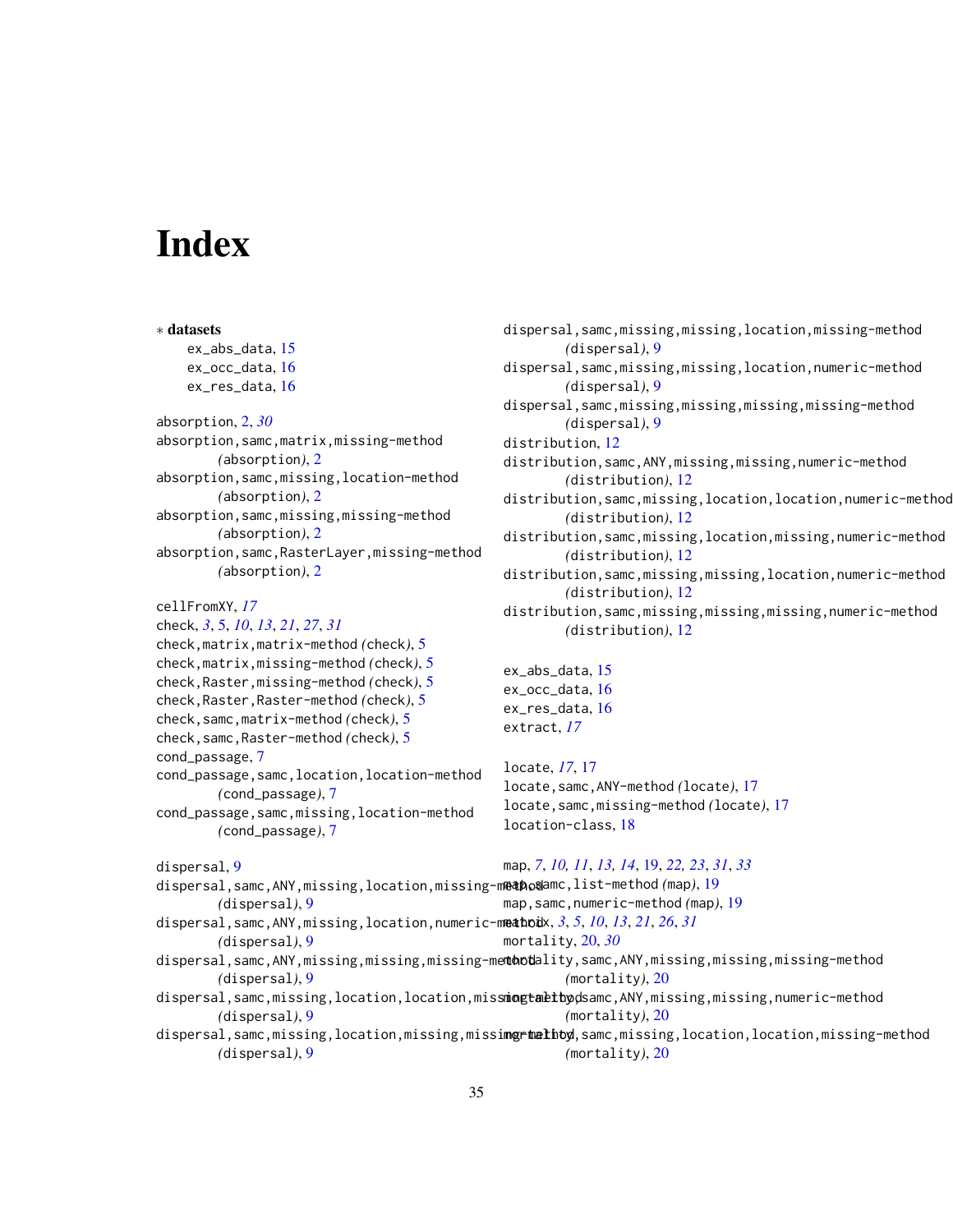# <span id="page-34-0"></span>Index

∗ datasets ex\_abs\_data, [15](#page-14-0) ex\_occ\_data, [16](#page-15-0) ex\_res\_data, [16](#page-15-0) absorption, [2,](#page-1-0) *[30](#page-29-0)* absorption,samc,matrix,missing-method *(*absorption*)*, [2](#page-1-0) absorption,samc,missing,location-method *(*absorption*)*, [2](#page-1-0) absorption,samc,missing,missing-method *(*absorption*)*, [2](#page-1-0) absorption,samc,RasterLayer,missing-method *(*absorption*)*, [2](#page-1-0) cellFromXY, *[17](#page-16-0)* check, *[3](#page-2-0)*, [5,](#page-4-0) *[10](#page-9-0)*, *[13](#page-12-0)*, *[21](#page-20-0)*, *[27](#page-26-0)*, *[31](#page-30-0)* check,matrix,matrix-method *(*check*)*, [5](#page-4-0) check,matrix,missing-method *(*check*)*, [5](#page-4-0) check,Raster,missing-method *(*check*)*, [5](#page-4-0) check,Raster,Raster-method *(*check*)*, [5](#page-4-0) check,samc,matrix-method *(*check*)*, [5](#page-4-0) check,samc,Raster-method *(*check*)*, [5](#page-4-0) cond\_passage, [7](#page-6-0) cond\_passage,samc,location,location-method *(*cond\_passage*)*, [7](#page-6-0) cond\_passage,samc,missing,location-method *(*cond\_passage*)*, [7](#page-6-0) dispersal, [9](#page-8-0) *(*dispersal*)*, [9](#page-8-0) *(*dispersal*)*, [9](#page-8-0) dispersal,samc,ANY,missing,missing,missing-me<mark>ntootdality,samc,ANY,missing,missing,missing-method</mark> locate, *[17](#page-16-0)*, [17](#page-16-0)

dispersal, samc, missing, missing, location, missing-method *(*dispersal*)*, [9](#page-8-0) dispersal,samc,missing,missing,location,numeric-method *(*dispersal*)*, [9](#page-8-0) dispersal,samc,missing,missing,missing,missing-method *(*dispersal*)*, [9](#page-8-0) distribution, [12](#page-11-0) distribution,samc,ANY,missing,missing,numeric-method *(*distribution*)*, [12](#page-11-0) distribution,samc,missing,location,location,numeric-method *(*distribution*)*, [12](#page-11-0) distribution,samc,missing,location,missing,numeric-method *(*distribution*)*, [12](#page-11-0) distribution, samc, missing, missing, location, numeric-method *(*distribution*)*, [12](#page-11-0) distribution,samc,missing,missing,missing,numeric-method *(*distribution*)*, [12](#page-11-0) ex\_abs\_data, [15](#page-14-0)

ex\_occ\_data, [16](#page-15-0) ex\_res\_data, [16](#page-15-0) extract, *[17](#page-16-0)*

locate,samc,ANY-method *(*locate*)*, [17](#page-16-0) locate,samc,missing-method *(*locate*)*, [17](#page-16-0) location-class, [18](#page-17-0)

- dispersal,samc,ANY,missing,location,missing-method map,samc,list-method *(*map*)*, [19](#page-18-0) dispersal,samc,ANY,missing,location,numeric-method matrix, *[3](#page-2-0)*, *[5](#page-4-0)*, *[10](#page-9-0)*, *[13](#page-12-0)*, *[21](#page-20-0)*, *[26](#page-25-0)*, *[31](#page-30-0)* map, *[7](#page-6-0)*, *[10,](#page-9-0) [11](#page-10-0)*, *[13,](#page-12-0) [14](#page-13-0)*, [19,](#page-18-0) *[22,](#page-21-0) [23](#page-22-0)*, *[31](#page-30-0)*, *[33](#page-32-0)* map,samc,numeric-method *(*map*)*, [19](#page-18-0) mortality, [20,](#page-19-0) *[30](#page-29-0)*
	- *(*dispersal*)*, [9](#page-8-0) *(*mortality*)*, [20](#page-19-0)
	- dispersal,samc,missing,location,location,miss**mogtalthyd**samc,ANY,missing,missing,numeric-method *(*dispersal*)*, [9](#page-8-0) *(*mortality*)*, [20](#page-19-0)
	- dispersal,samc,missing,location,missing,missi**ng-twelhoy**,samc,missing,location,location,missing-method *(*dispersal*)*, [9](#page-8-0) *(*mortality*)*, [20](#page-19-0)